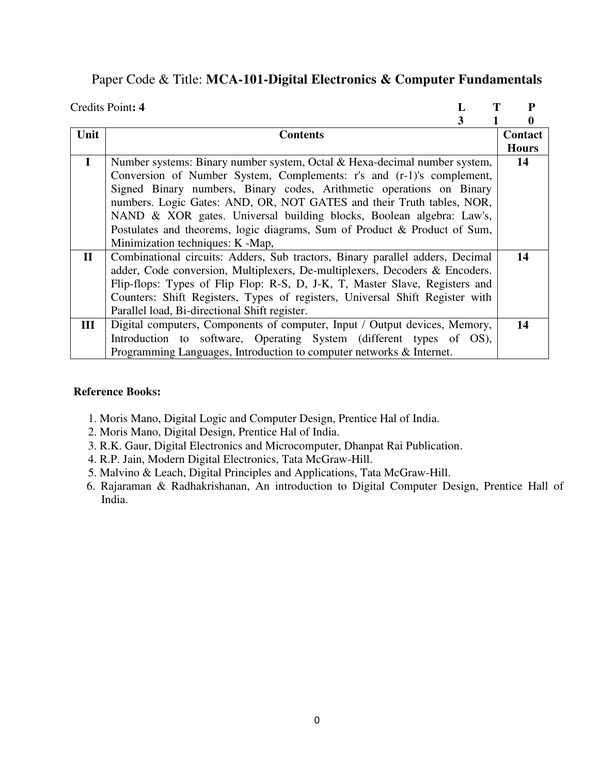### Paper Code & Title: **MCA-101-Digital Electronics & Computer Fundamentals**

|              | Credits Point: 4                                                              |  | P            |
|--------------|-------------------------------------------------------------------------------|--|--------------|
|              |                                                                               |  | 0            |
| Unit         | <b>Contents</b>                                                               |  | Contact      |
|              |                                                                               |  | <b>Hours</b> |
| $\mathbf I$  | Number systems: Binary number system, Octal & Hexa-decimal number system,     |  | 14           |
|              | Conversion of Number System, Complements: r's and (r-1)'s complement,         |  |              |
|              | Signed Binary numbers, Binary codes, Arithmetic operations on Binary          |  |              |
|              | numbers. Logic Gates: AND, OR, NOT GATES and their Truth tables, NOR,         |  |              |
|              | NAND & XOR gates. Universal building blocks, Boolean algebra: Law's,          |  |              |
|              | Postulates and theorems, logic diagrams, Sum of Product & Product of Sum,     |  |              |
|              | Minimization techniques: K -Map,                                              |  |              |
| $\mathbf{I}$ | Combinational circuits: Adders, Sub tractors, Binary parallel adders, Decimal |  | 14           |
|              | adder, Code conversion, Multiplexers, De-multiplexers, Decoders & Encoders.   |  |              |
|              | Flip-flops: Types of Flip Flop: R-S, D, J-K, T, Master Slave, Registers and   |  |              |
|              | Counters: Shift Registers, Types of registers, Universal Shift Register with  |  |              |
|              | Parallel load, Bi-directional Shift register.                                 |  |              |
| III          | Digital computers, Components of computer, Input / Output devices, Memory,    |  | 14           |
|              | Introduction to software, Operating System (different types of OS),           |  |              |
|              | Programming Languages, Introduction to computer networks & Internet.          |  |              |

- 1. Moris Mano, Digital Logic and Computer Design, Prentice Hal of India.
- 2. Moris Mano, Digital Design, Prentice Hal of India.
- 3. R.K. Gaur, Digital Electronics and Microcomputer, Dhanpat Rai Publication.
- 4. R.P. Jain, Modern Digital Electronics, Tata McGraw-Hill.
- 5. Malvino & Leach, Digital Principles and Applications, Tata McGraw-Hill.
- 6. Rajaraman & Radhakrishanan, An introduction to Digital Computer Design, Prentice Hall of India.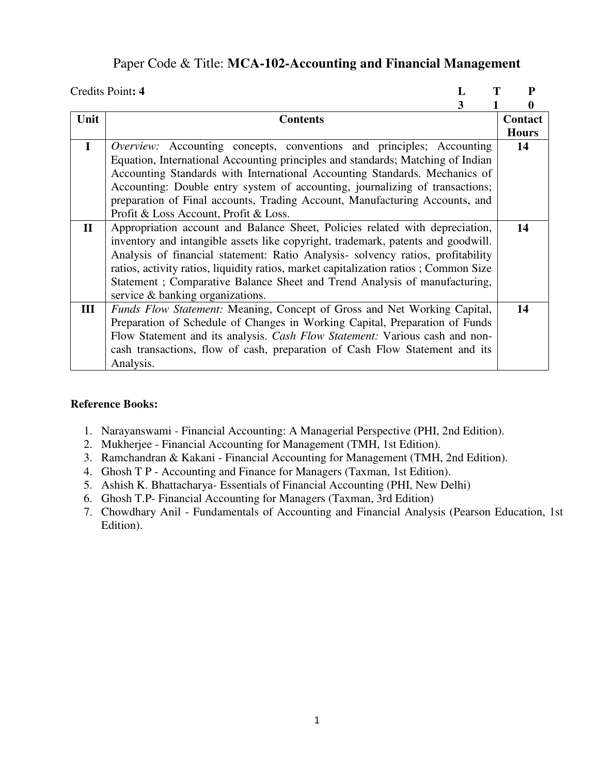## Paper Code & Title: **MCA-102-Accounting and Financial Management**

|              | Credits Point: 4<br>L                                                                | P            |
|--------------|--------------------------------------------------------------------------------------|--------------|
|              | 3                                                                                    | 0            |
| Unit         | <b>Contents</b>                                                                      | Contact      |
|              |                                                                                      | <b>Hours</b> |
| $\mathbf I$  | <i>Overview:</i> Accounting concepts, conventions and principles; Accounting         | 14           |
|              | Equation, International Accounting principles and standards; Matching of Indian      |              |
|              | Accounting Standards with International Accounting Standards. Mechanics of           |              |
|              | Accounting: Double entry system of accounting, journalizing of transactions;         |              |
|              | preparation of Final accounts, Trading Account, Manufacturing Accounts, and          |              |
|              | Profit & Loss Account, Profit & Loss.                                                |              |
| $\mathbf{I}$ | Appropriation account and Balance Sheet, Policies related with depreciation,         | 14           |
|              | inventory and intangible assets like copyright, trademark, patents and goodwill.     |              |
|              | Analysis of financial statement: Ratio Analysis-solvency ratios, profitability       |              |
|              | ratios, activity ratios, liquidity ratios, market capitalization ratios; Common Size |              |
|              | Statement; Comparative Balance Sheet and Trend Analysis of manufacturing,            |              |
|              | service & banking organizations.                                                     |              |
| III          | <i>Funds Flow Statement:</i> Meaning, Concept of Gross and Net Working Capital,      | 14           |
|              | Preparation of Schedule of Changes in Working Capital, Preparation of Funds          |              |
|              | Flow Statement and its analysis. <i>Cash Flow Statement:</i> Various cash and non-   |              |
|              | cash transactions, flow of cash, preparation of Cash Flow Statement and its          |              |
|              | Analysis.                                                                            |              |

- 1. Narayanswami Financial Accounting: A Managerial Perspective (PHI, 2nd Edition).
- 2. Mukherjee Financial Accounting for Management (TMH, 1st Edition).
- 3. Ramchandran & Kakani Financial Accounting for Management (TMH, 2nd Edition).
- 4. Ghosh T P Accounting and Finance for Managers (Taxman, 1st Edition).
- 5. Ashish K. Bhattacharya- Essentials of Financial Accounting (PHI, New Delhi)
- 6. Ghosh T.P- Financial Accounting for Managers (Taxman, 3rd Edition)
- 7. Chowdhary Anil Fundamentals of Accounting and Financial Analysis (Pearson Education, 1st Edition).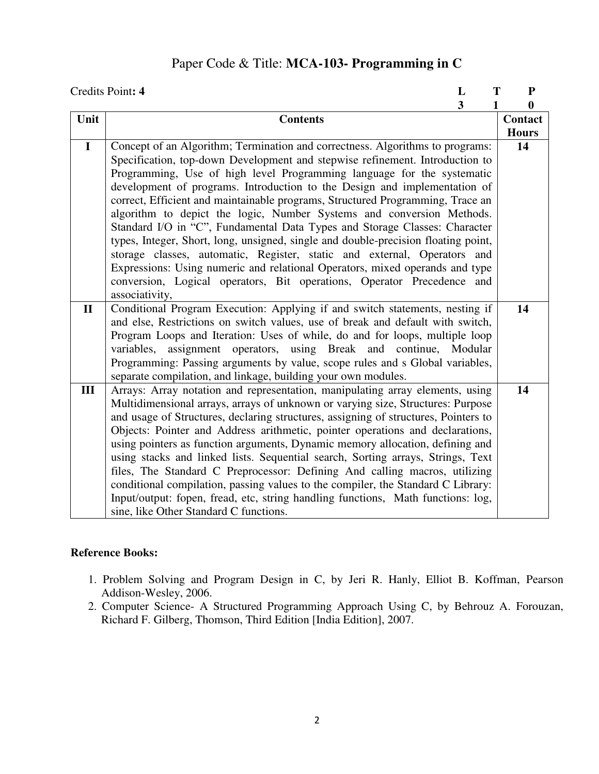## Paper Code & Title: **MCA-103- Programming in C**

|              | Credits Point: 4<br>L                                                                                                                                                                                                                                                                                                                                                                                                                                                                                                                                                                                                                                                                                                                                                                                                                                                                     | T | ${\bf P}$        |
|--------------|-------------------------------------------------------------------------------------------------------------------------------------------------------------------------------------------------------------------------------------------------------------------------------------------------------------------------------------------------------------------------------------------------------------------------------------------------------------------------------------------------------------------------------------------------------------------------------------------------------------------------------------------------------------------------------------------------------------------------------------------------------------------------------------------------------------------------------------------------------------------------------------------|---|------------------|
|              | $\overline{\mathbf{3}}$                                                                                                                                                                                                                                                                                                                                                                                                                                                                                                                                                                                                                                                                                                                                                                                                                                                                   | 1 | $\boldsymbol{0}$ |
| Unit         | <b>Contents</b>                                                                                                                                                                                                                                                                                                                                                                                                                                                                                                                                                                                                                                                                                                                                                                                                                                                                           |   | Contact          |
|              |                                                                                                                                                                                                                                                                                                                                                                                                                                                                                                                                                                                                                                                                                                                                                                                                                                                                                           |   | <b>Hours</b>     |
| $\mathbf I$  | Concept of an Algorithm; Termination and correctness. Algorithms to programs:<br>Specification, top-down Development and stepwise refinement. Introduction to<br>Programming, Use of high level Programming language for the systematic<br>development of programs. Introduction to the Design and implementation of<br>correct, Efficient and maintainable programs, Structured Programming, Trace an<br>algorithm to depict the logic, Number Systems and conversion Methods.<br>Standard I/O in "C", Fundamental Data Types and Storage Classes: Character<br>types, Integer, Short, long, unsigned, single and double-precision floating point,<br>storage classes, automatic, Register, static and external, Operators and<br>Expressions: Using numeric and relational Operators, mixed operands and type<br>conversion, Logical operators, Bit operations, Operator Precedence and |   | 14               |
|              | associativity,                                                                                                                                                                                                                                                                                                                                                                                                                                                                                                                                                                                                                                                                                                                                                                                                                                                                            |   |                  |
| $\mathbf{I}$ | Conditional Program Execution: Applying if and switch statements, nesting if<br>and else, Restrictions on switch values, use of break and default with switch,<br>Program Loops and Iteration: Uses of while, do and for loops, multiple loop<br>assignment operators, using Break and continue, Modular<br>variables,<br>Programming: Passing arguments by value, scope rules and s Global variables,<br>separate compilation, and linkage, building your own modules.                                                                                                                                                                                                                                                                                                                                                                                                                   |   | 14               |
| III          | Arrays: Array notation and representation, manipulating array elements, using<br>Multidimensional arrays, arrays of unknown or varying size, Structures: Purpose<br>and usage of Structures, declaring structures, assigning of structures, Pointers to<br>Objects: Pointer and Address arithmetic, pointer operations and declarations,<br>using pointers as function arguments, Dynamic memory allocation, defining and<br>using stacks and linked lists. Sequential search, Sorting arrays, Strings, Text<br>files, The Standard C Preprocessor: Defining And calling macros, utilizing<br>conditional compilation, passing values to the compiler, the Standard C Library:<br>Input/output: fopen, fread, etc, string handling functions, Math functions: log,<br>sine, like Other Standard C functions.                                                                              |   | 14               |

- 1. Problem Solving and Program Design in C, by Jeri R. Hanly, Elliot B. Koffman, Pearson Addison-Wesley, 2006.
- 2. Computer Science- A Structured Programming Approach Using C, by Behrouz A. Forouzan, Richard F. Gilberg, Thomson, Third Edition [India Edition], 2007.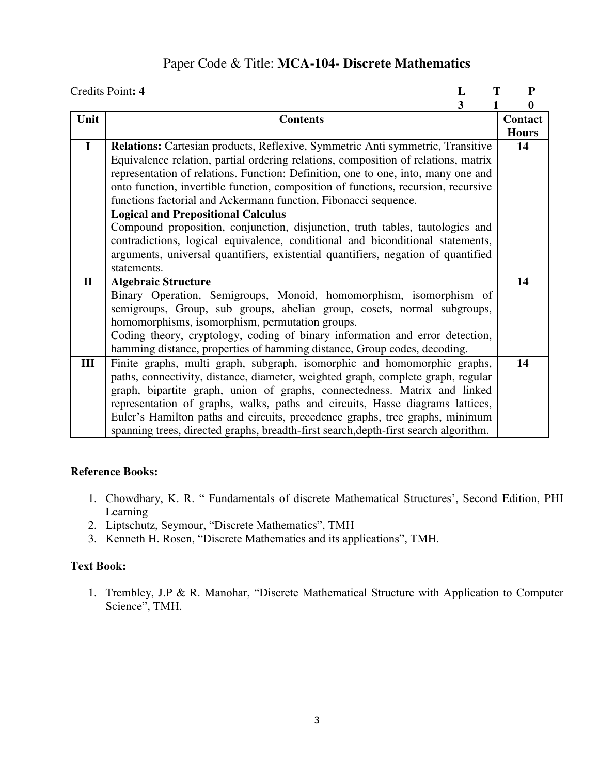## Paper Code & Title: **MCA-104- Discrete Mathematics**

|              | Credits Point: 4<br>L                                                                                                                                                                                                                                                                                                                                                                                                                                           | Т<br>${\bf P}$   |
|--------------|-----------------------------------------------------------------------------------------------------------------------------------------------------------------------------------------------------------------------------------------------------------------------------------------------------------------------------------------------------------------------------------------------------------------------------------------------------------------|------------------|
|              | 3                                                                                                                                                                                                                                                                                                                                                                                                                                                               | $\boldsymbol{0}$ |
| Unit         | <b>Contents</b>                                                                                                                                                                                                                                                                                                                                                                                                                                                 | Contact          |
|              |                                                                                                                                                                                                                                                                                                                                                                                                                                                                 | <b>Hours</b>     |
| $\mathbf{I}$ | Relations: Cartesian products, Reflexive, Symmetric Anti symmetric, Transitive<br>Equivalence relation, partial ordering relations, composition of relations, matrix<br>representation of relations. Function: Definition, one to one, into, many one and<br>onto function, invertible function, composition of functions, recursion, recursive<br>functions factorial and Ackermann function, Fibonacci sequence.<br><b>Logical and Prepositional Calculus</b> | 14               |
|              | Compound proposition, conjunction, disjunction, truth tables, tautologics and<br>contradictions, logical equivalence, conditional and biconditional statements,<br>arguments, universal quantifiers, existential quantifiers, negation of quantified<br>statements.                                                                                                                                                                                             |                  |
| $\mathbf{I}$ | <b>Algebraic Structure</b>                                                                                                                                                                                                                                                                                                                                                                                                                                      | 14               |
|              | Binary Operation, Semigroups, Monoid, homomorphism, isomorphism of<br>semigroups, Group, sub groups, abelian group, cosets, normal subgroups,<br>homomorphisms, isomorphism, permutation groups.<br>Coding theory, cryptology, coding of binary information and error detection,<br>hamming distance, properties of hamming distance, Group codes, decoding.                                                                                                    |                  |
| III          | Finite graphs, multi graph, subgraph, isomorphic and homomorphic graphs,                                                                                                                                                                                                                                                                                                                                                                                        | 14               |
|              | paths, connectivity, distance, diameter, weighted graph, complete graph, regular<br>graph, bipartite graph, union of graphs, connectedness. Matrix and linked<br>representation of graphs, walks, paths and circuits, Hasse diagrams lattices,<br>Euler's Hamilton paths and circuits, precedence graphs, tree graphs, minimum<br>spanning trees, directed graphs, breadth-first search, depth-first search algorithm.                                          |                  |

#### **Reference Books:**

- 1. Chowdhary, K. R. " Fundamentals of discrete Mathematical Structures', Second Edition, PHI Learning
- 2. Liptschutz, Seymour, "Discrete Mathematics", TMH
- 3. Kenneth H. Rosen, "Discrete Mathematics and its applications", TMH.

### **Text Book:**

1. Trembley, J.P & R. Manohar, "Discrete Mathematical Structure with Application to Computer Science", TMH.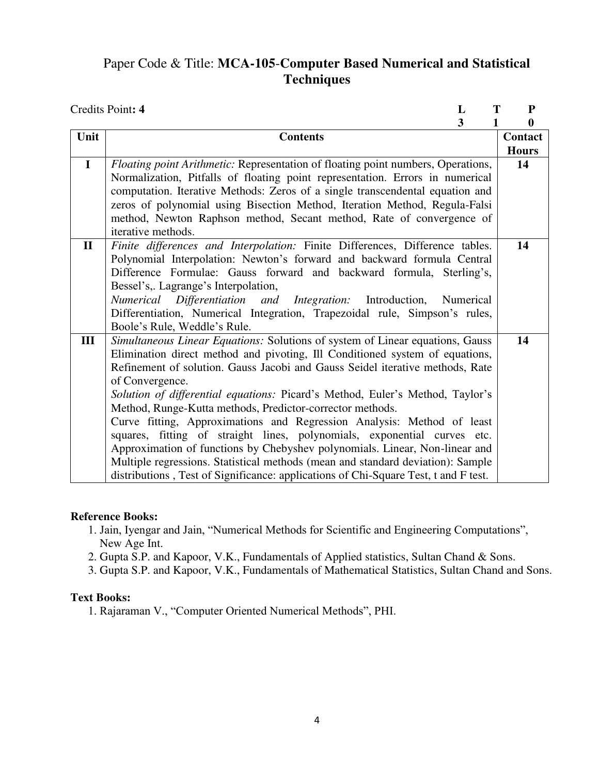# Paper Code & Title: **MCA-105**-**Computer Based Numerical and Statistical Techniques**

|              | Credits Point: 4<br>T<br>L                                                                                                                                                                                                                                                                                                                                                                                                                                                                                                                                                                                                                                                                                                                                                                                                     | ${\bf P}$    |
|--------------|--------------------------------------------------------------------------------------------------------------------------------------------------------------------------------------------------------------------------------------------------------------------------------------------------------------------------------------------------------------------------------------------------------------------------------------------------------------------------------------------------------------------------------------------------------------------------------------------------------------------------------------------------------------------------------------------------------------------------------------------------------------------------------------------------------------------------------|--------------|
|              | 3<br>1                                                                                                                                                                                                                                                                                                                                                                                                                                                                                                                                                                                                                                                                                                                                                                                                                         | $\bf{0}$     |
| Unit         | <b>Contents</b>                                                                                                                                                                                                                                                                                                                                                                                                                                                                                                                                                                                                                                                                                                                                                                                                                | Contact      |
|              |                                                                                                                                                                                                                                                                                                                                                                                                                                                                                                                                                                                                                                                                                                                                                                                                                                | <b>Hours</b> |
| $\mathbf I$  | Floating point Arithmetic: Representation of floating point numbers, Operations,<br>Normalization, Pitfalls of floating point representation. Errors in numerical<br>computation. Iterative Methods: Zeros of a single transcendental equation and<br>zeros of polynomial using Bisection Method, Iteration Method, Regula-Falsi<br>method, Newton Raphson method, Secant method, Rate of convergence of<br>iterative methods.                                                                                                                                                                                                                                                                                                                                                                                                 | 14           |
| $\mathbf{I}$ | Finite differences and Interpolation: Finite Differences, Difference tables.<br>Polynomial Interpolation: Newton's forward and backward formula Central<br>Difference Formulae: Gauss forward and backward formula, Sterling's,<br>Bessel's, Lagrange's Interpolation,<br>Numerical Differentiation and Integration: Introduction,<br>Numerical<br>Differentiation, Numerical Integration, Trapezoidal rule, Simpson's rules,<br>Boole's Rule, Weddle's Rule.                                                                                                                                                                                                                                                                                                                                                                  | 14           |
| III          | Simultaneous Linear Equations: Solutions of system of Linear equations, Gauss<br>Elimination direct method and pivoting, Ill Conditioned system of equations,<br>Refinement of solution. Gauss Jacobi and Gauss Seidel iterative methods, Rate<br>of Convergence.<br>Solution of differential equations: Picard's Method, Euler's Method, Taylor's<br>Method, Runge-Kutta methods, Predictor-corrector methods.<br>Curve fitting, Approximations and Regression Analysis: Method of least<br>squares, fitting of straight lines, polynomials, exponential curves etc.<br>Approximation of functions by Chebyshev polynomials. Linear, Non-linear and<br>Multiple regressions. Statistical methods (mean and standard deviation): Sample<br>distributions, Test of Significance: applications of Chi-Square Test, t and F test. | 14           |

#### **Reference Books:**

- 1. Jain, Iyengar and Jain, "Numerical Methods for Scientific and Engineering Computations", New Age Int.
- 2. Gupta S.P. and Kapoor, V.K., Fundamentals of Applied statistics, Sultan Chand & Sons.
- 3. Gupta S.P. and Kapoor, V.K., Fundamentals of Mathematical Statistics, Sultan Chand and Sons.

#### **Text Books:**

1. Rajaraman V., "Computer Oriented Numerical Methods", PHI.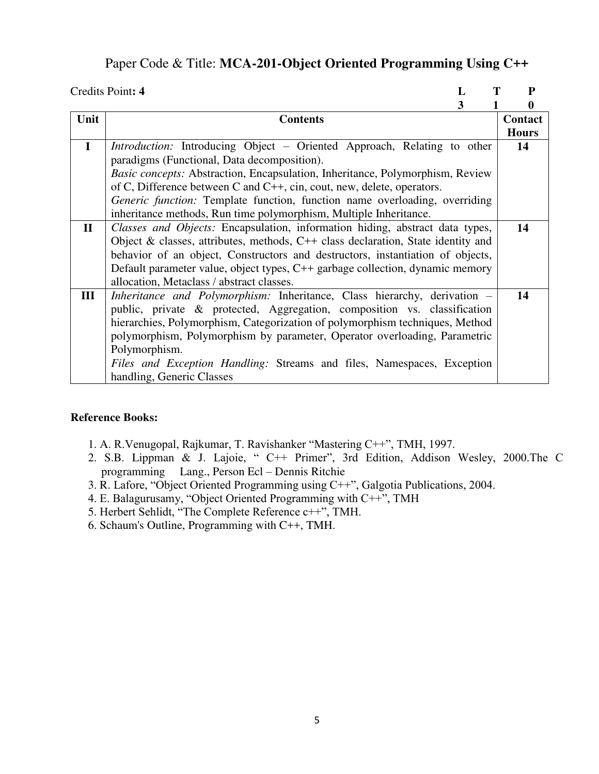## Paper Code & Title: **MCA-201-Object Oriented Programming Using C++**

|              | Т<br>Credits Point: 4<br>L                                                           | P            |
|--------------|--------------------------------------------------------------------------------------|--------------|
|              | 3                                                                                    | 0            |
| Unit         | <b>Contents</b>                                                                      | Contact      |
|              |                                                                                      | <b>Hours</b> |
| $\mathbf I$  | Introduction: Introducing Object - Oriented Approach, Relating to other              | 14           |
|              | paradigms (Functional, Data decomposition).                                          |              |
|              | <i>Basic concepts:</i> Abstraction, Encapsulation, Inheritance, Polymorphism, Review |              |
|              | of C, Difference between C and C++, cin, cout, new, delete, operators.               |              |
|              | <i>Generic function:</i> Template function, function name overloading, overriding    |              |
|              | inheritance methods, Run time polymorphism, Multiple Inheritance.                    |              |
| $\mathbf{I}$ | Classes and Objects: Encapsulation, information hiding, abstract data types,         | 14           |
|              | Object & classes, attributes, methods, $C++$ class declaration, State identity and   |              |
|              | behavior of an object, Constructors and destructors, instantiation of objects,       |              |
|              | Default parameter value, object types, C++ garbage collection, dynamic memory        |              |
|              | allocation, Metaclass / abstract classes.                                            |              |
| III          | <i>Inheritance and Polymorphism:</i> Inheritance, Class hierarchy, derivation –      | 14           |
|              | public, private & protected, Aggregation, composition vs. classification             |              |
|              | hierarchies, Polymorphism, Categorization of polymorphism techniques, Method         |              |
|              | polymorphism, Polymorphism by parameter, Operator overloading, Parametric            |              |
|              | Polymorphism.                                                                        |              |
|              | Files and Exception Handling: Streams and files, Namespaces, Exception               |              |
|              | handling, Generic Classes                                                            |              |

- 1. A. R.Venugopal, Rajkumar, T. Ravishanker "Mastering C++", TMH, 1997.
- 2. S.B. Lippman & J. Lajoie, " C++ Primer", 3rd Edition, Addison Wesley, 2000.The C programming Lang., Person Ecl – Dennis Ritchie
- 3. R. Lafore, "Object Oriented Programming using C++", Galgotia Publications, 2004.
- 4. E. Balagurusamy, "Object Oriented Programming with C++", TMH
- 5. Herbert Sehlidt, "The Complete Reference c++", TMH.
- 6. Schaum's Outline, Programming with C++, TMH.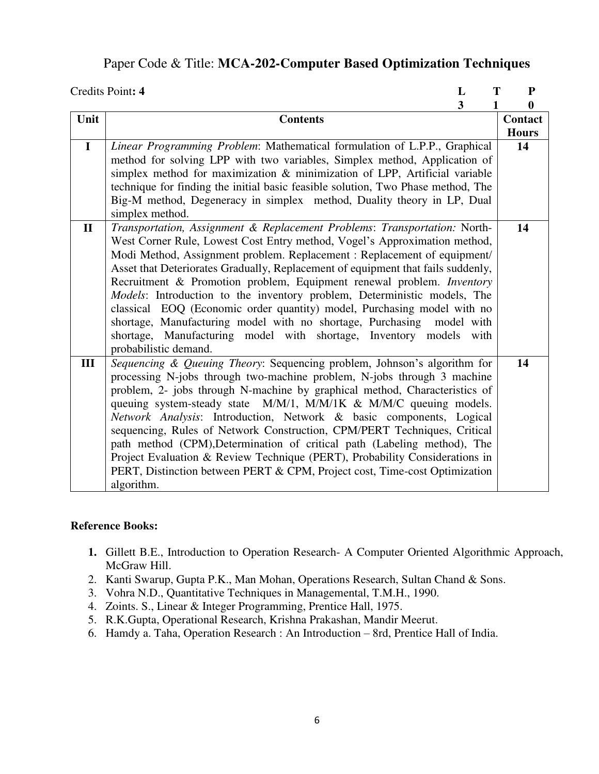### Paper Code & Title: **MCA-202-Computer Based Optimization Techniques**

|              | Credits Point: 4<br>L                                                                                                                                                                                                                                                                                                                                                                                                                                                                                                                                                                                                                                                                                                                   | T<br>P                  |
|--------------|-----------------------------------------------------------------------------------------------------------------------------------------------------------------------------------------------------------------------------------------------------------------------------------------------------------------------------------------------------------------------------------------------------------------------------------------------------------------------------------------------------------------------------------------------------------------------------------------------------------------------------------------------------------------------------------------------------------------------------------------|-------------------------|
|              | $\overline{\mathbf{3}}$                                                                                                                                                                                                                                                                                                                                                                                                                                                                                                                                                                                                                                                                                                                 | $\bf{0}$<br>1           |
| Unit         | <b>Contents</b>                                                                                                                                                                                                                                                                                                                                                                                                                                                                                                                                                                                                                                                                                                                         | Contact<br><b>Hours</b> |
| $\mathbf I$  | Linear Programming Problem: Mathematical formulation of L.P.P., Graphical<br>method for solving LPP with two variables, Simplex method, Application of<br>simplex method for maximization & minimization of LPP, Artificial variable<br>technique for finding the initial basic feasible solution, Two Phase method, The<br>Big-M method, Degeneracy in simplex method, Duality theory in LP, Dual<br>simplex method.                                                                                                                                                                                                                                                                                                                   | 14                      |
| $\mathbf{I}$ | Transportation, Assignment & Replacement Problems: Transportation: North-<br>West Corner Rule, Lowest Cost Entry method, Vogel's Approximation method,<br>Modi Method, Assignment problem. Replacement : Replacement of equipment/<br>Asset that Deteriorates Gradually, Replacement of equipment that fails suddenly,<br>Recruitment & Promotion problem, Equipment renewal problem. Inventory<br>Models: Introduction to the inventory problem, Deterministic models, The<br>classical EOQ (Economic order quantity) model, Purchasing model with no<br>shortage, Manufacturing model with no shortage, Purchasing<br>model with<br>shortage, Manufacturing model with shortage, Inventory<br>models<br>with<br>probabilistic demand. | 14                      |
| III          | Sequencing & Queuing Theory: Sequencing problem, Johnson's algorithm for<br>processing N-jobs through two-machine problem, N-jobs through 3 machine<br>problem, 2- jobs through N-machine by graphical method, Characteristics of<br>queuing system-steady state M/M/1, M/M/1K & M/M/C queuing models.<br>Network Analysis: Introduction, Network & basic components, Logical<br>sequencing, Rules of Network Construction, CPM/PERT Techniques, Critical<br>path method (CPM), Determination of critical path (Labeling method), The<br>Project Evaluation & Review Technique (PERT), Probability Considerations in<br>PERT, Distinction between PERT & CPM, Project cost, Time-cost Optimization<br>algorithm.                        | 14                      |

- **1.** Gillett B.E., Introduction to Operation Research- A Computer Oriented Algorithmic Approach, McGraw Hill.
- 2. Kanti Swarup, Gupta P.K., Man Mohan, Operations Research, Sultan Chand & Sons.
- 3. Vohra N.D., Quantitative Techniques in Managemental, T.M.H., 1990.
- 4. Zoints. S., Linear & Integer Programming, Prentice Hall, 1975.
- 5. R.K.Gupta, Operational Research, Krishna Prakashan, Mandir Meerut.
- 6. Hamdy a. Taha, Operation Research : An Introduction 8rd, Prentice Hall of India.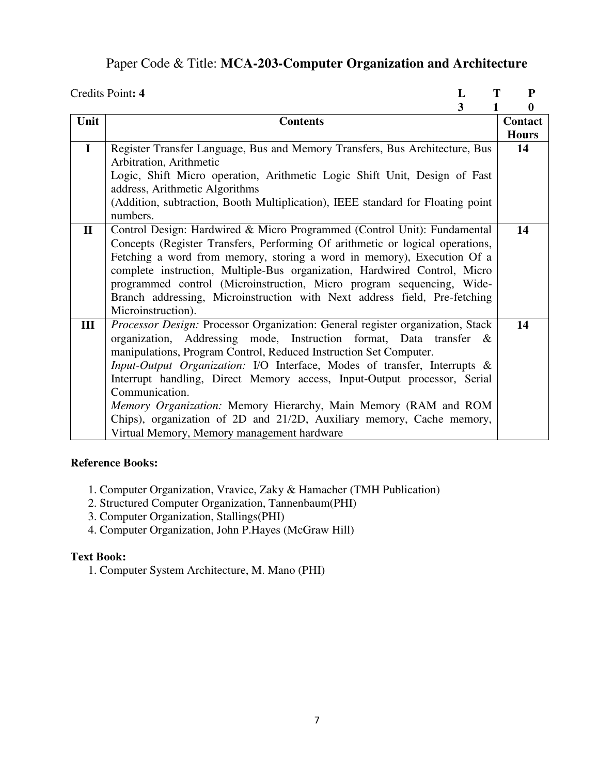## Paper Code & Title: **MCA-203-Computer Organization and Architecture**

|              | Credits Point: 4<br>L                                                                                                                                                                                                                                                                                                                                                                                                                                                                                                                                                                          | Т<br>P                  |
|--------------|------------------------------------------------------------------------------------------------------------------------------------------------------------------------------------------------------------------------------------------------------------------------------------------------------------------------------------------------------------------------------------------------------------------------------------------------------------------------------------------------------------------------------------------------------------------------------------------------|-------------------------|
|              | 3<br>1                                                                                                                                                                                                                                                                                                                                                                                                                                                                                                                                                                                         | $\boldsymbol{0}$        |
| Unit         | <b>Contents</b>                                                                                                                                                                                                                                                                                                                                                                                                                                                                                                                                                                                | Contact<br><b>Hours</b> |
| $\mathbf I$  | Register Transfer Language, Bus and Memory Transfers, Bus Architecture, Bus<br>Arbitration, Arithmetic<br>Logic, Shift Micro operation, Arithmetic Logic Shift Unit, Design of Fast<br>address, Arithmetic Algorithms<br>(Addition, subtraction, Booth Multiplication), IEEE standard for Floating point<br>numbers.                                                                                                                                                                                                                                                                           | 14                      |
| $\mathbf{I}$ | Control Design: Hardwired & Micro Programmed (Control Unit): Fundamental<br>Concepts (Register Transfers, Performing Of arithmetic or logical operations,<br>Fetching a word from memory, storing a word in memory), Execution Of a<br>complete instruction, Multiple-Bus organization, Hardwired Control, Micro<br>programmed control (Microinstruction, Micro program sequencing, Wide-<br>Branch addressing, Microinstruction with Next address field, Pre-fetching<br>Microinstruction).                                                                                                   | 14                      |
| III          | Processor Design: Processor Organization: General register organization, Stack<br>organization, Addressing mode, Instruction format, Data transfer &<br>manipulations, Program Control, Reduced Instruction Set Computer.<br>Input-Output Organization: I/O Interface, Modes of transfer, Interrupts &<br>Interrupt handling, Direct Memory access, Input-Output processor, Serial<br>Communication.<br>Memory Organization: Memory Hierarchy, Main Memory (RAM and ROM<br>Chips), organization of 2D and 21/2D, Auxiliary memory, Cache memory,<br>Virtual Memory, Memory management hardware | 14                      |

#### **Reference Books:**

- 1. Computer Organization, Vravice, Zaky & Hamacher (TMH Publication)
- 2. Structured Computer Organization, Tannenbaum(PHI)
- 3. Computer Organization, Stallings(PHI)
- 4. Computer Organization, John P.Hayes (McGraw Hill)

#### **Text Book:**

1. Computer System Architecture, M. Mano (PHI)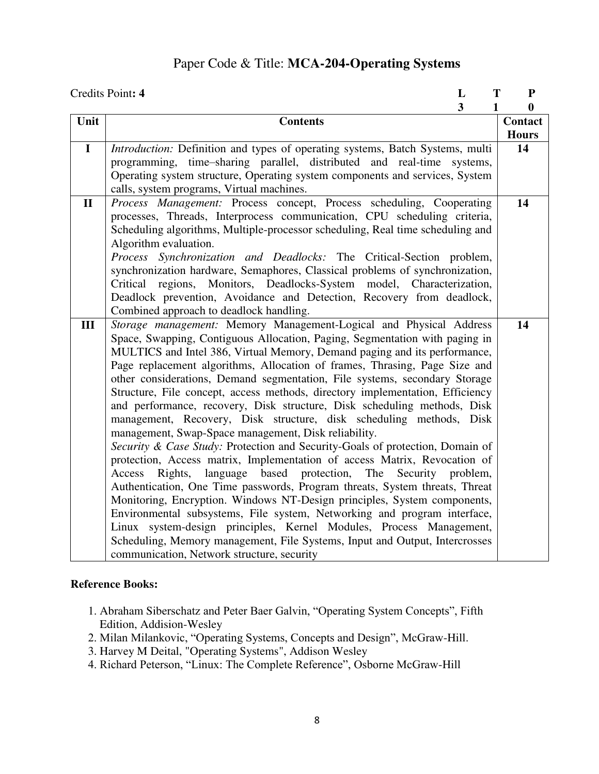## Paper Code & Title: **MCA-204-Operating Systems**

|              | Credits Point: 4                                                                              | L                       | T | ${\bf P}$        |
|--------------|-----------------------------------------------------------------------------------------------|-------------------------|---|------------------|
|              |                                                                                               | $\overline{\mathbf{3}}$ | 1 | $\boldsymbol{0}$ |
| Unit         | <b>Contents</b>                                                                               |                         |   | Contact          |
|              |                                                                                               |                         |   | <b>Hours</b>     |
| $\mathbf I$  | Introduction: Definition and types of operating systems, Batch Systems, multi                 |                         |   | 14               |
|              | programming, time-sharing parallel, distributed and real-time systems,                        |                         |   |                  |
|              | Operating system structure, Operating system components and services, System                  |                         |   |                  |
|              | calls, system programs, Virtual machines.                                                     |                         |   |                  |
| $\mathbf{I}$ | Process Management: Process concept, Process scheduling, Cooperating                          |                         |   | 14               |
|              | processes, Threads, Interprocess communication, CPU scheduling criteria,                      |                         |   |                  |
|              | Scheduling algorithms, Multiple-processor scheduling, Real time scheduling and                |                         |   |                  |
|              | Algorithm evaluation.<br>Process Synchronization and Deadlocks: The Critical-Section problem, |                         |   |                  |
|              | synchronization hardware, Semaphores, Classical problems of synchronization,                  |                         |   |                  |
|              | Critical regions, Monitors, Deadlocks-System model, Characterization,                         |                         |   |                  |
|              | Deadlock prevention, Avoidance and Detection, Recovery from deadlock,                         |                         |   |                  |
|              | Combined approach to deadlock handling.                                                       |                         |   |                  |
| III          | Storage management: Memory Management-Logical and Physical Address                            |                         |   | 14               |
|              | Space, Swapping, Contiguous Allocation, Paging, Segmentation with paging in                   |                         |   |                  |
|              | MULTICS and Intel 386, Virtual Memory, Demand paging and its performance,                     |                         |   |                  |
|              | Page replacement algorithms, Allocation of frames, Thrasing, Page Size and                    |                         |   |                  |
|              | other considerations, Demand segmentation, File systems, secondary Storage                    |                         |   |                  |
|              | Structure, File concept, access methods, directory implementation, Efficiency                 |                         |   |                  |
|              | and performance, recovery, Disk structure, Disk scheduling methods, Disk                      |                         |   |                  |
|              | management, Recovery, Disk structure, disk scheduling methods, Disk                           |                         |   |                  |
|              | management, Swap-Space management, Disk reliability.                                          |                         |   |                  |
|              | Security & Case Study: Protection and Security-Goals of protection, Domain of                 |                         |   |                  |
|              | protection, Access matrix, Implementation of access Matrix, Revocation of                     |                         |   |                  |
|              | based<br>protection,<br>The<br>Rights,<br>language<br>Security problem,<br>Access             |                         |   |                  |
|              | Authentication, One Time passwords, Program threats, System threats, Threat                   |                         |   |                  |
|              | Monitoring, Encryption. Windows NT-Design principles, System components,                      |                         |   |                  |
|              | Environmental subsystems, File system, Networking and program interface,                      |                         |   |                  |
|              | Linux system-design principles, Kernel Modules, Process Management,                           |                         |   |                  |
|              | Scheduling, Memory management, File Systems, Input and Output, Intercrosses                   |                         |   |                  |
|              | communication, Network structure, security                                                    |                         |   |                  |

- 1. Abraham Siberschatz and Peter Baer Galvin, "Operating System Concepts", Fifth Edition, Addision-Wesley
- 2. Milan Milankovic, "Operating Systems, Concepts and Design", McGraw-Hill.
- 3. Harvey M Deital, "Operating Systems", Addison Wesley
- 4. Richard Peterson, "Linux: The Complete Reference", Osborne McGraw-Hill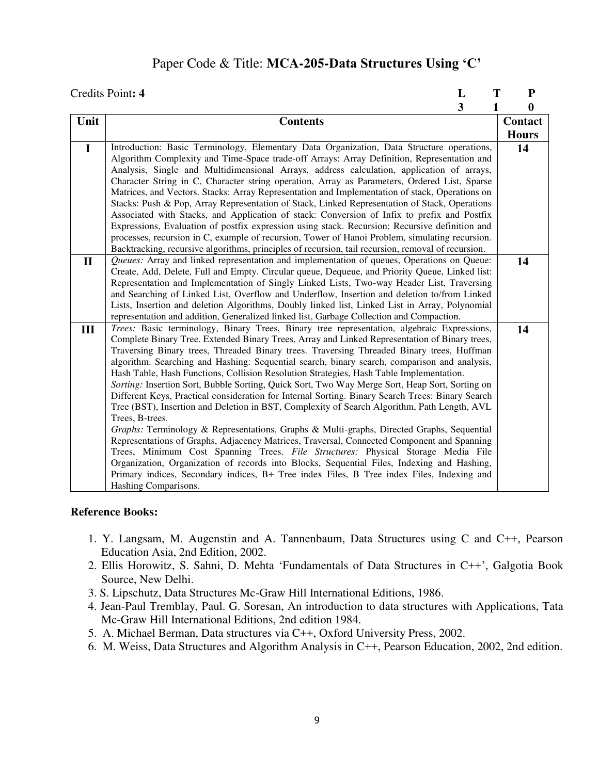# Paper Code & Title: **MCA-205-Data Structures Using 'C'**

|              | Credits Point: 4<br>L<br>T                                                                                                                                                                                                                                                                                                                                                                                                                                                                                                                                                                                                                                                                                                                                                                                                                                                                                                                                                                                                                                                                                                                                                                                                                                                                                    | ${\bf P}$    |
|--------------|---------------------------------------------------------------------------------------------------------------------------------------------------------------------------------------------------------------------------------------------------------------------------------------------------------------------------------------------------------------------------------------------------------------------------------------------------------------------------------------------------------------------------------------------------------------------------------------------------------------------------------------------------------------------------------------------------------------------------------------------------------------------------------------------------------------------------------------------------------------------------------------------------------------------------------------------------------------------------------------------------------------------------------------------------------------------------------------------------------------------------------------------------------------------------------------------------------------------------------------------------------------------------------------------------------------|--------------|
|              | 3<br>1                                                                                                                                                                                                                                                                                                                                                                                                                                                                                                                                                                                                                                                                                                                                                                                                                                                                                                                                                                                                                                                                                                                                                                                                                                                                                                        | $\bf{0}$     |
| Unit         | <b>Contents</b>                                                                                                                                                                                                                                                                                                                                                                                                                                                                                                                                                                                                                                                                                                                                                                                                                                                                                                                                                                                                                                                                                                                                                                                                                                                                                               | Contact      |
|              |                                                                                                                                                                                                                                                                                                                                                                                                                                                                                                                                                                                                                                                                                                                                                                                                                                                                                                                                                                                                                                                                                                                                                                                                                                                                                                               | <b>Hours</b> |
| $\mathbf I$  | Introduction: Basic Terminology, Elementary Data Organization, Data Structure operations,<br>Algorithm Complexity and Time-Space trade-off Arrays: Array Definition, Representation and<br>Analysis, Single and Multidimensional Arrays, address calculation, application of arrays,<br>Character String in C, Character string operation, Array as Parameters, Ordered List, Sparse<br>Matrices, and Vectors. Stacks: Array Representation and Implementation of stack, Operations on<br>Stacks: Push & Pop, Array Representation of Stack, Linked Representation of Stack, Operations<br>Associated with Stacks, and Application of stack: Conversion of Infix to prefix and Postfix<br>Expressions, Evaluation of postfix expression using stack. Recursion: Recursive definition and<br>processes, recursion in C, example of recursion, Tower of Hanoi Problem, simulating recursion.<br>Backtracking, recursive algorithms, principles of recursion, tail recursion, removal of recursion.                                                                                                                                                                                                                                                                                                              | 14           |
| $\mathbf{I}$ | Queues: Array and linked representation and implementation of queues, Operations on Queue:<br>Create, Add, Delete, Full and Empty. Circular queue, Dequeue, and Priority Queue, Linked list:<br>Representation and Implementation of Singly Linked Lists, Two-way Header List, Traversing<br>and Searching of Linked List, Overflow and Underflow, Insertion and deletion to/from Linked<br>Lists, Insertion and deletion Algorithms, Doubly linked list, Linked List in Array, Polynomial<br>representation and addition, Generalized linked list, Garbage Collection and Compaction.                                                                                                                                                                                                                                                                                                                                                                                                                                                                                                                                                                                                                                                                                                                        | 14           |
| III          | Trees: Basic terminology, Binary Trees, Binary tree representation, algebraic Expressions,<br>Complete Binary Tree. Extended Binary Trees, Array and Linked Representation of Binary trees,<br>Traversing Binary trees, Threaded Binary trees. Traversing Threaded Binary trees, Huffman<br>algorithm. Searching and Hashing: Sequential search, binary search, comparison and analysis,<br>Hash Table, Hash Functions, Collision Resolution Strategies, Hash Table Implementation.<br>Sorting: Insertion Sort, Bubble Sorting, Quick Sort, Two Way Merge Sort, Heap Sort, Sorting on<br>Different Keys, Practical consideration for Internal Sorting. Binary Search Trees: Binary Search<br>Tree (BST), Insertion and Deletion in BST, Complexity of Search Algorithm, Path Length, AVL<br>Trees, B-trees.<br>Graphs: Terminology & Representations, Graphs & Multi-graphs, Directed Graphs, Sequential<br>Representations of Graphs, Adjacency Matrices, Traversal, Connected Component and Spanning<br>Trees, Minimum Cost Spanning Trees. File Structures: Physical Storage Media File<br>Organization, Organization of records into Blocks, Sequential Files, Indexing and Hashing,<br>Primary indices, Secondary indices, B+ Tree index Files, B Tree index Files, Indexing and<br>Hashing Comparisons. | 14           |

- 1. Y. Langsam, M. Augenstin and A. Tannenbaum, Data Structures using C and C++, Pearson Education Asia, 2nd Edition, 2002.
- 2. Ellis Horowitz, S. Sahni, D. Mehta 'Fundamentals of Data Structures in C++', Galgotia Book Source, New Delhi.
- 3. S. Lipschutz, Data Structures Mc-Graw Hill International Editions, 1986.
- 4. Jean-Paul Tremblay, Paul. G. Soresan, An introduction to data structures with Applications, Tata Mc-Graw Hill International Editions, 2nd edition 1984.
- 5. A. Michael Berman, Data structures via C++, Oxford University Press, 2002.
- 6. M. Weiss, Data Structures and Algorithm Analysis in C++, Pearson Education, 2002, 2nd edition.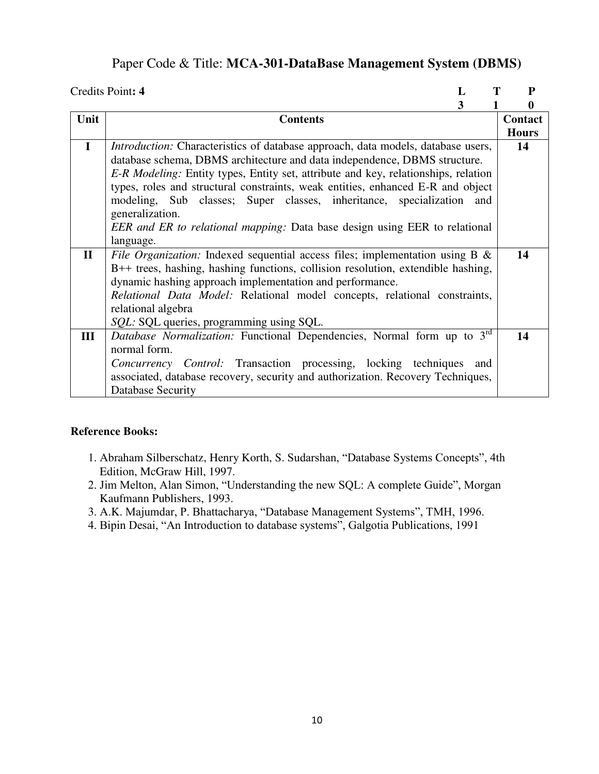## Paper Code & Title: **MCA-301-DataBase Management System (DBMS)**

|              | Credits Point: 4<br>L                                                                                                                                                                                                                                                                                                                                                                                                                                                                                                             | P            |
|--------------|-----------------------------------------------------------------------------------------------------------------------------------------------------------------------------------------------------------------------------------------------------------------------------------------------------------------------------------------------------------------------------------------------------------------------------------------------------------------------------------------------------------------------------------|--------------|
|              | 3                                                                                                                                                                                                                                                                                                                                                                                                                                                                                                                                 | $\bf{0}$     |
| Unit         | <b>Contents</b>                                                                                                                                                                                                                                                                                                                                                                                                                                                                                                                   | Contact      |
|              |                                                                                                                                                                                                                                                                                                                                                                                                                                                                                                                                   | <b>Hours</b> |
| $\mathbf I$  | <i>Introduction:</i> Characteristics of database approach, data models, database users,<br>database schema, DBMS architecture and data independence, DBMS structure.<br>E-R Modeling: Entity types, Entity set, attribute and key, relationships, relation<br>types, roles and structural constraints, weak entities, enhanced E-R and object<br>modeling, Sub classes; Super classes, inheritance, specialization<br>and<br>generalization.<br><i>EER and ER to relational mapping:</i> Data base design using EER to relational | 14           |
| $\mathbf{I}$ | language.<br>File Organization: Indexed sequential access files; implementation using B &<br>B++ trees, hashing, hashing functions, collision resolution, extendible hashing,<br>dynamic hashing approach implementation and performance.<br>Relational Data Model: Relational model concepts, relational constraints,<br>relational algebra<br><i>SQL</i> : SQL queries, programming using SQL.                                                                                                                                  | 14           |
| III          | Database Normalization: Functional Dependencies, Normal form up to 3 <sup>rd</sup><br>normal form.<br>Concurrency Control: Transaction processing, locking techniques and<br>associated, database recovery, security and authorization. Recovery Techniques,<br>Database Security                                                                                                                                                                                                                                                 | 14           |

- 1. Abraham Silberschatz, Henry Korth, S. Sudarshan, "Database Systems Concepts", 4th Edition, McGraw Hill, 1997.
- 2. Jim Melton, Alan Simon, "Understanding the new SQL: A complete Guide", Morgan Kaufmann Publishers, 1993.
- 3. A.K. Majumdar, P. Bhattacharya, "Database Management Systems", TMH, 1996.
- 4. Bipin Desai, "An Introduction to database systems", Galgotia Publications, 1991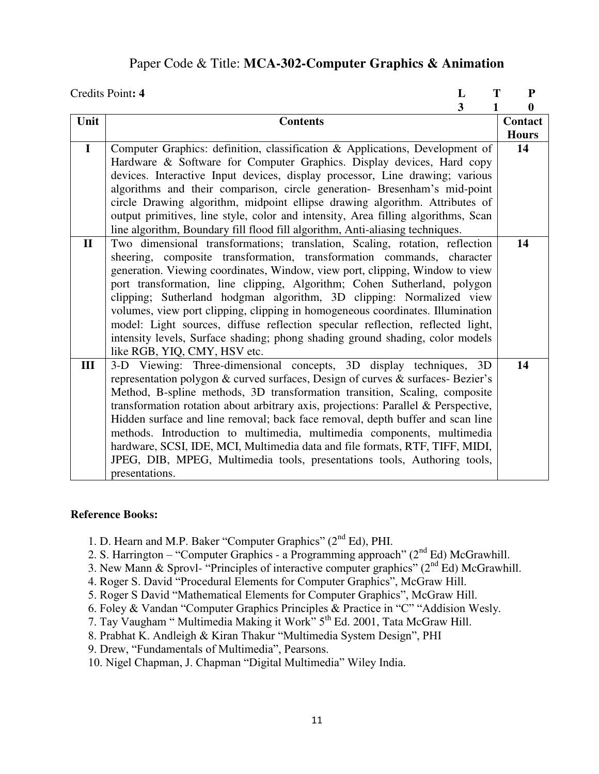### Paper Code & Title: **MCA-302-Computer Graphics & Animation**

|              | Credits Point: 4<br>L<br>Т                                                         | ${\bf P}$    |
|--------------|------------------------------------------------------------------------------------|--------------|
|              | 3                                                                                  | $\bf{0}$     |
| Unit         | <b>Contents</b>                                                                    | Contact      |
|              |                                                                                    | <b>Hours</b> |
| $\mathbf I$  | Computer Graphics: definition, classification & Applications, Development of       | 14           |
|              | Hardware & Software for Computer Graphics. Display devices, Hard copy              |              |
|              | devices. Interactive Input devices, display processor, Line drawing; various       |              |
|              | algorithms and their comparison, circle generation- Bresenham's mid-point          |              |
|              | circle Drawing algorithm, midpoint ellipse drawing algorithm. Attributes of        |              |
|              | output primitives, line style, color and intensity, Area filling algorithms, Scan  |              |
|              | line algorithm, Boundary fill flood fill algorithm, Anti-aliasing techniques.      |              |
| $\mathbf{I}$ | Two dimensional transformations; translation, Scaling, rotation, reflection        | 14           |
|              | sheering, composite transformation, transformation commands, character             |              |
|              | generation. Viewing coordinates, Window, view port, clipping, Window to view       |              |
|              | port transformation, line clipping, Algorithm; Cohen Sutherland, polygon           |              |
|              | clipping; Sutherland hodgman algorithm, 3D clipping: Normalized view               |              |
|              | volumes, view port clipping, clipping in homogeneous coordinates. Illumination     |              |
|              | model: Light sources, diffuse reflection specular reflection, reflected light,     |              |
|              | intensity levels, Surface shading; phong shading ground shading, color models      |              |
|              | like RGB, YIQ, CMY, HSV etc.                                                       |              |
| III          | 3-D Viewing: Three-dimensional concepts, 3D display techniques, 3D                 | 14           |
|              | representation polygon & curved surfaces, Design of curves & surfaces- Bezier's    |              |
|              | Method, B-spline methods, 3D transformation transition, Scaling, composite         |              |
|              | transformation rotation about arbitrary axis, projections: Parallel & Perspective, |              |
|              | Hidden surface and line removal; back face removal, depth buffer and scan line     |              |
|              | methods. Introduction to multimedia, multimedia components, multimedia             |              |
|              | hardware, SCSI, IDE, MCI, Multimedia data and file formats, RTF, TIFF, MIDI,       |              |
|              | JPEG, DIB, MPEG, Multimedia tools, presentations tools, Authoring tools,           |              |
|              | presentations.                                                                     |              |

#### **Reference Books:**

- 1. D. Hearn and M.P. Baker "Computer Graphics" (2<sup>nd</sup> Ed), PHI.
- 2. S. Harrington "Computer Graphics a Programming approach" ( $2<sup>nd</sup> Ed$ ) McGrawhill.
- 3. New Mann & Sprovl- "Principles of interactive computer graphics" ( $2<sup>nd</sup> Ed$ ) McGrawhill.
- 4. Roger S. David "Procedural Elements for Computer Graphics", McGraw Hill.
- 5. Roger S David "Mathematical Elements for Computer Graphics", McGraw Hill.
- 6. Foley & Vandan "Computer Graphics Principles & Practice in "C" "Addision Wesly.
- 7. Tay Vaugham " Multimedia Making it Work" 5<sup>th</sup> Ed. 2001, Tata McGraw Hill.
- 8. Prabhat K. Andleigh & Kiran Thakur "Multimedia System Design", PHI
- 9. Drew, "Fundamentals of Multimedia", Pearsons.

10. Nigel Chapman, J. Chapman "Digital Multimedia" Wiley India.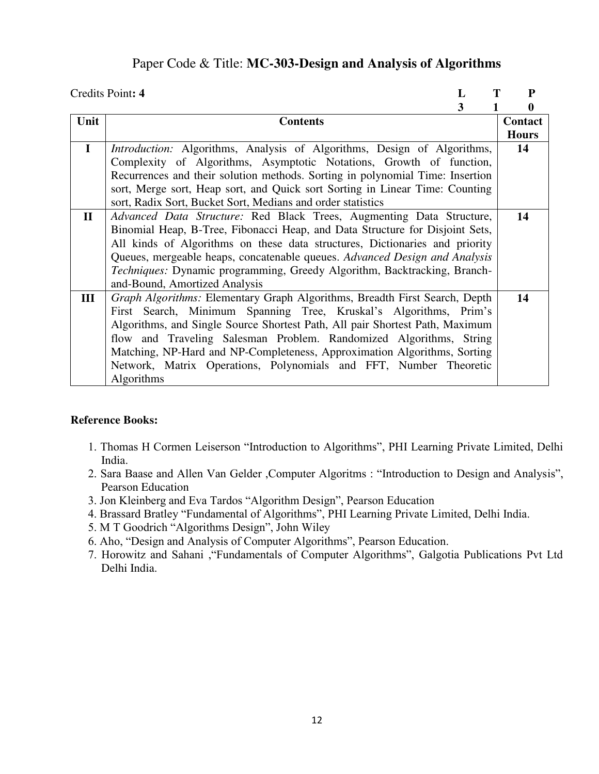### Paper Code & Title: **MC-303-Design and Analysis of Algorithms**

|              | Credits Point: 4<br>L                                                           | P            |
|--------------|---------------------------------------------------------------------------------|--------------|
|              | 3                                                                               | 0            |
| Unit         | <b>Contents</b>                                                                 | Contact      |
|              |                                                                                 | <b>Hours</b> |
| $\mathbf{I}$ | <i>Introduction:</i> Algorithms, Analysis of Algorithms, Design of Algorithms,  | 14           |
|              | Complexity of Algorithms, Asymptotic Notations, Growth of function,             |              |
|              | Recurrences and their solution methods. Sorting in polynomial Time: Insertion   |              |
|              | sort, Merge sort, Heap sort, and Quick sort Sorting in Linear Time: Counting    |              |
|              | sort, Radix Sort, Bucket Sort, Medians and order statistics                     |              |
| $\mathbf{I}$ | Advanced Data Structure: Red Black Trees, Augmenting Data Structure,            | 14           |
|              | Binomial Heap, B-Tree, Fibonacci Heap, and Data Structure for Disjoint Sets,    |              |
|              | All kinds of Algorithms on these data structures, Dictionaries and priority     |              |
|              | Queues, mergeable heaps, concatenable queues. Advanced Design and Analysis      |              |
|              | <i>Techniques:</i> Dynamic programming, Greedy Algorithm, Backtracking, Branch- |              |
|              | and-Bound, Amortized Analysis                                                   |              |
| Ш            | Graph Algorithms: Elementary Graph Algorithms, Breadth First Search, Depth      | 14           |
|              | First Search, Minimum Spanning Tree, Kruskal's Algorithms, Prim's               |              |
|              | Algorithms, and Single Source Shortest Path, All pair Shortest Path, Maximum    |              |
|              | flow and Traveling Salesman Problem. Randomized Algorithms, String              |              |
|              | Matching, NP-Hard and NP-Completeness, Approximation Algorithms, Sorting        |              |
|              | Network, Matrix Operations, Polynomials and FFT, Number Theoretic               |              |
|              | Algorithms                                                                      |              |

- 1. Thomas H Cormen Leiserson "Introduction to Algorithms", PHI Learning Private Limited, Delhi India.
- 2. Sara Baase and Allen Van Gelder ,Computer Algoritms : "Introduction to Design and Analysis", Pearson Education
- 3. Jon Kleinberg and Eva Tardos "Algorithm Design", Pearson Education
- 4. Brassard Bratley "Fundamental of Algorithms", PHI Learning Private Limited, Delhi India.
- 5. M T Goodrich "Algorithms Design", John Wiley
- 6. Aho, "Design and Analysis of Computer Algorithms", Pearson Education.
- 7. Horowitz and Sahani ,"Fundamentals of Computer Algorithms", Galgotia Publications Pvt Ltd Delhi India.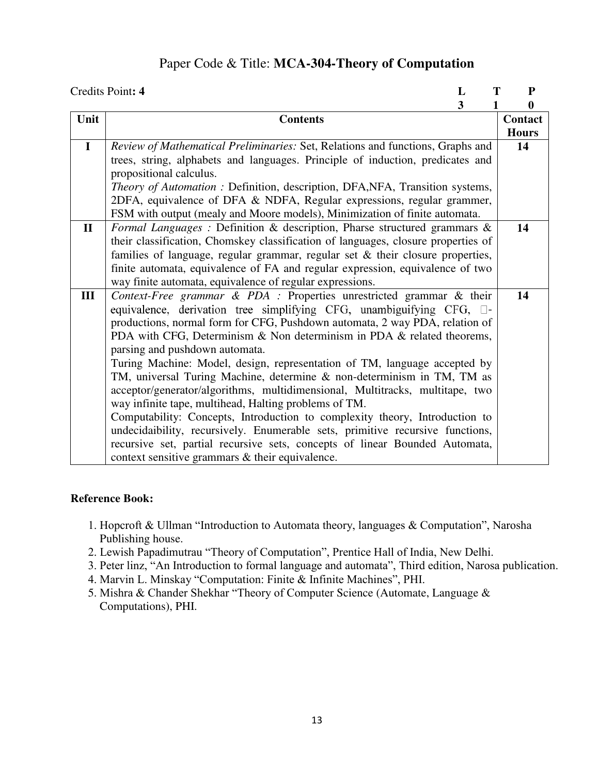### Paper Code & Title: **MCA-304-Theory of Computation**

|              | Credits Point: 4<br>L<br>Т                                                        | ${\bf P}$    |
|--------------|-----------------------------------------------------------------------------------|--------------|
|              | 3                                                                                 | 0            |
| Unit         | <b>Contents</b>                                                                   | Contact      |
|              |                                                                                   | <b>Hours</b> |
| $\mathbf I$  | Review of Mathematical Preliminaries: Set, Relations and functions, Graphs and    | 14           |
|              | trees, string, alphabets and languages. Principle of induction, predicates and    |              |
|              | propositional calculus.                                                           |              |
|              | Theory of Automation: Definition, description, DFA, NFA, Transition systems,      |              |
|              | 2DFA, equivalence of DFA & NDFA, Regular expressions, regular grammer,            |              |
|              | FSM with output (mealy and Moore models), Minimization of finite automata.        |              |
| $\mathbf{I}$ | Formal Languages: Definition & description, Pharse structured grammars &          | 14           |
|              | their classification, Chomskey classification of languages, closure properties of |              |
|              | families of language, regular grammar, regular set $\&$ their closure properties, |              |
|              | finite automata, equivalence of FA and regular expression, equivalence of two     |              |
|              | way finite automata, equivalence of regular expressions.                          |              |
| III          | Context-Free grammar & PDA : Properties unrestricted grammar & their              | 14           |
|              | equivalence, derivation tree simplifying CFG, unambiguifying CFG, $\square$ -     |              |
|              | productions, normal form for CFG, Pushdown automata, 2 way PDA, relation of       |              |
|              | PDA with CFG, Determinism $\&$ Non determinism in PDA $\&$ related theorems,      |              |
|              | parsing and pushdown automata.                                                    |              |
|              | Turing Machine: Model, design, representation of TM, language accepted by         |              |
|              | TM, universal Turing Machine, determine & non-determinism in TM, TM as            |              |
|              | acceptor/generator/algorithms, multidimensional, Multitracks, multitape, two      |              |
|              | way infinite tape, multihead, Halting problems of TM.                             |              |
|              | Computability: Concepts, Introduction to complexity theory, Introduction to       |              |
|              | undecidaibility, recursively. Enumerable sets, primitive recursive functions,     |              |
|              | recursive set, partial recursive sets, concepts of linear Bounded Automata,       |              |
|              | context sensitive grammars & their equivalence.                                   |              |

- 1. Hopcroft & Ullman "Introduction to Automata theory, languages & Computation", Narosha Publishing house.
- 2. Lewish Papadimutrau "Theory of Computation", Prentice Hall of India, New Delhi.
- 3. Peter linz, "An Introduction to formal language and automata", Third edition, Narosa publication.
- 4. Marvin L. Minskay "Computation: Finite & Infinite Machines", PHI.
- 5. Mishra & Chander Shekhar "Theory of Computer Science (Automate, Language & Computations), PHI.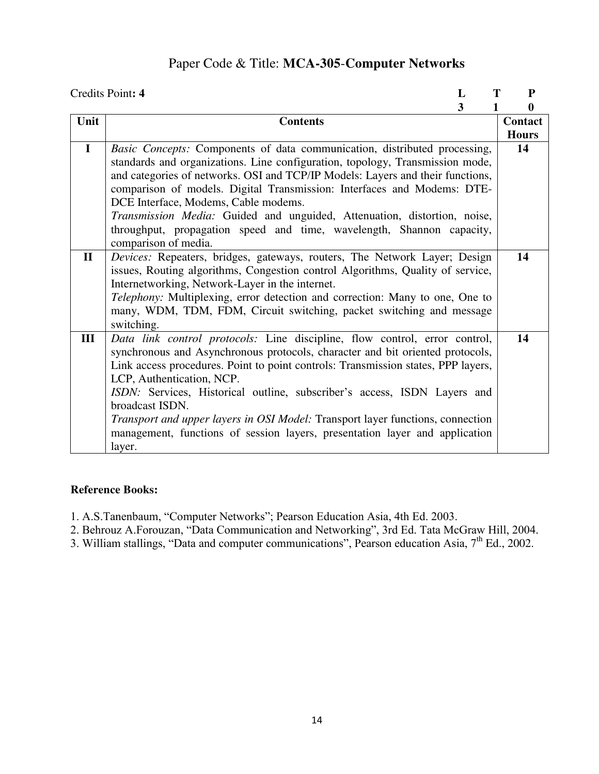## Paper Code & Title: **MCA-305**-**Computer Networks**

|              | Credits Point: 4<br>Т<br>L                                                                                                                                                                                                                                                                                                                                                                                                                                                                                                                              | ${\bf P}$    |
|--------------|---------------------------------------------------------------------------------------------------------------------------------------------------------------------------------------------------------------------------------------------------------------------------------------------------------------------------------------------------------------------------------------------------------------------------------------------------------------------------------------------------------------------------------------------------------|--------------|
|              | 3<br>1                                                                                                                                                                                                                                                                                                                                                                                                                                                                                                                                                  | 0            |
| Unit         | <b>Contents</b>                                                                                                                                                                                                                                                                                                                                                                                                                                                                                                                                         | Contact      |
|              |                                                                                                                                                                                                                                                                                                                                                                                                                                                                                                                                                         | <b>Hours</b> |
| $\mathbf I$  | Basic Concepts: Components of data communication, distributed processing,<br>standards and organizations. Line configuration, topology, Transmission mode,<br>and categories of networks. OSI and TCP/IP Models: Layers and their functions,<br>comparison of models. Digital Transmission: Interfaces and Modems: DTE-<br>DCE Interface, Modems, Cable modems.<br>Transmission Media: Guided and unguided, Attenuation, distortion, noise,<br>throughput, propagation speed and time, wavelength, Shannon capacity,<br>comparison of media.            | 14           |
| $\mathbf{I}$ | Devices: Repeaters, bridges, gateways, routers, The Network Layer; Design<br>issues, Routing algorithms, Congestion control Algorithms, Quality of service,<br>Internetworking, Network-Layer in the internet.<br>Telephony: Multiplexing, error detection and correction: Many to one, One to<br>many, WDM, TDM, FDM, Circuit switching, packet switching and message<br>switching.                                                                                                                                                                    | 14           |
| III          | Data link control protocols: Line discipline, flow control, error control,<br>synchronous and Asynchronous protocols, character and bit oriented protocols,<br>Link access procedures. Point to point controls: Transmission states, PPP layers,<br>LCP, Authentication, NCP.<br>ISDN: Services, Historical outline, subscriber's access, ISDN Layers and<br>broadcast ISDN.<br>Transport and upper layers in OSI Model: Transport layer functions, connection<br>management, functions of session layers, presentation layer and application<br>layer. | 14           |

- 1. A.S.Tanenbaum, "Computer Networks"; Pearson Education Asia, 4th Ed. 2003.
- 2. Behrouz A.Forouzan, "Data Communication and Networking", 3rd Ed. Tata McGraw Hill, 2004.
- 3. William stallings, "Data and computer communications", Pearson education Asia, 7th Ed., 2002.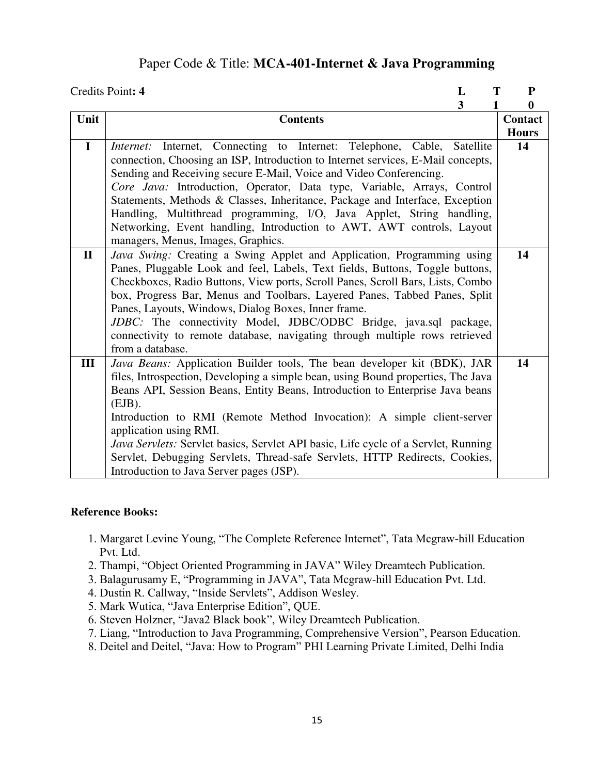### Paper Code & Title: **MCA-401-Internet & Java Programming**

|              | Credits Point: 4<br>L                                                                                                                                                                                                                                                                                                                                                                                                                                                                                                                                                                   | T<br>${\bf P}$                              |
|--------------|-----------------------------------------------------------------------------------------------------------------------------------------------------------------------------------------------------------------------------------------------------------------------------------------------------------------------------------------------------------------------------------------------------------------------------------------------------------------------------------------------------------------------------------------------------------------------------------------|---------------------------------------------|
| Unit         | 3<br>1<br><b>Contents</b>                                                                                                                                                                                                                                                                                                                                                                                                                                                                                                                                                               | $\boldsymbol{0}$<br>Contact<br><b>Hours</b> |
| $\mathbf I$  | Internet, Connecting to Internet: Telephone, Cable, Satellite<br>Internet:<br>connection, Choosing an ISP, Introduction to Internet services, E-Mail concepts,<br>Sending and Receiving secure E-Mail, Voice and Video Conferencing.<br>Core Java: Introduction, Operator, Data type, Variable, Arrays, Control<br>Statements, Methods & Classes, Inheritance, Package and Interface, Exception<br>Handling, Multithread programming, I/O, Java Applet, String handling,<br>Networking, Event handling, Introduction to AWT, AWT controls, Layout<br>managers, Menus, Images, Graphics. | 14                                          |
| $\mathbf{I}$ | Java Swing: Creating a Swing Applet and Application, Programming using<br>Panes, Pluggable Look and feel, Labels, Text fields, Buttons, Toggle buttons,<br>Checkboxes, Radio Buttons, View ports, Scroll Panes, Scroll Bars, Lists, Combo<br>box, Progress Bar, Menus and Toolbars, Layered Panes, Tabbed Panes, Split<br>Panes, Layouts, Windows, Dialog Boxes, Inner frame.<br>JDBC: The connectivity Model, JDBC/ODBC Bridge, java.sql package,<br>connectivity to remote database, navigating through multiple rows retrieved<br>from a database.                                   | 14                                          |
| III          | Java Beans: Application Builder tools, The bean developer kit (BDK), JAR<br>files, Introspection, Developing a simple bean, using Bound properties, The Java<br>Beans API, Session Beans, Entity Beans, Introduction to Enterprise Java beans<br>$(EJB)$ .<br>Introduction to RMI (Remote Method Invocation): A simple client-server<br>application using RMI.<br>Java Servlets: Servlet basics, Servlet API basic, Life cycle of a Servlet, Running<br>Servlet, Debugging Servlets, Thread-safe Servlets, HTTP Redirects, Cookies,<br>Introduction to Java Server pages (JSP).         | 14                                          |

- 1. Margaret Levine Young, "The Complete Reference Internet", Tata Mcgraw-hill Education Pvt. Ltd.
- 2. Thampi, "Object Oriented Programming in JAVA" Wiley Dreamtech Publication.
- 3. Balagurusamy E, "Programming in JAVA", Tata Mcgraw-hill Education Pvt. Ltd.
- 4. Dustin R. Callway, "Inside Servlets", Addison Wesley.
- 5. Mark Wutica, "Java Enterprise Edition", QUE.
- 6. Steven Holzner, "Java2 Black book", Wiley Dreamtech Publication.
- 7. Liang, "Introduction to Java Programming, Comprehensive Version", Pearson Education.
- 8. Deitel and Deitel, "Java: How to Program" PHI Learning Private Limited, Delhi India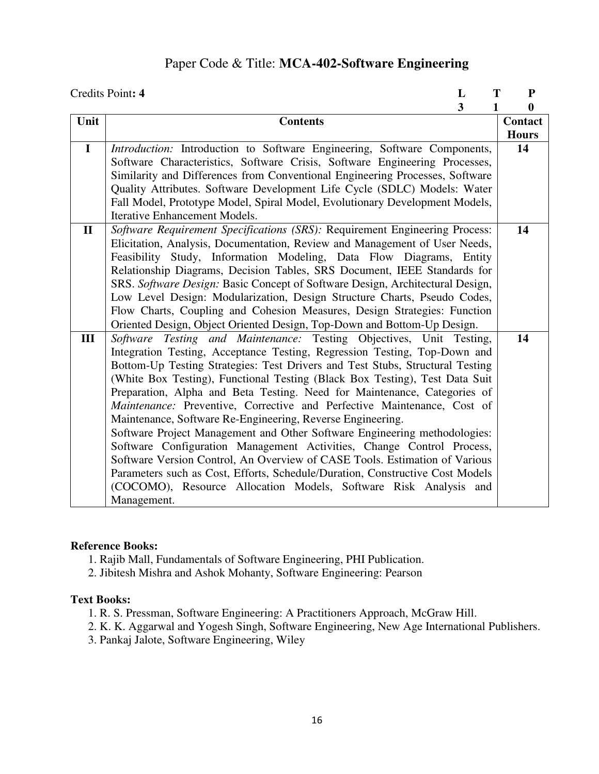## Paper Code & Title: **MCA-402-Software Engineering**

|              | Credits Point: 4<br>T<br>L                                                    | ${\bf P}$    |
|--------------|-------------------------------------------------------------------------------|--------------|
|              | $\overline{\mathbf{3}}$<br>$\mathbf{1}$                                       | $\bf{0}$     |
| Unit         | <b>Contents</b>                                                               | Contact      |
|              |                                                                               | <b>Hours</b> |
| $\mathbf I$  | Introduction: Introduction to Software Engineering, Software Components,      | 14           |
|              | Software Characteristics, Software Crisis, Software Engineering Processes,    |              |
|              | Similarity and Differences from Conventional Engineering Processes, Software  |              |
|              | Quality Attributes. Software Development Life Cycle (SDLC) Models: Water      |              |
|              | Fall Model, Prototype Model, Spiral Model, Evolutionary Development Models,   |              |
|              | <b>Iterative Enhancement Models.</b>                                          |              |
| $\mathbf{I}$ | Software Requirement Specifications (SRS): Requirement Engineering Process:   | 14           |
|              | Elicitation, Analysis, Documentation, Review and Management of User Needs,    |              |
|              | Feasibility Study, Information Modeling, Data Flow Diagrams, Entity           |              |
|              | Relationship Diagrams, Decision Tables, SRS Document, IEEE Standards for      |              |
|              | SRS. Software Design: Basic Concept of Software Design, Architectural Design, |              |
|              | Low Level Design: Modularization, Design Structure Charts, Pseudo Codes,      |              |
|              | Flow Charts, Coupling and Cohesion Measures, Design Strategies: Function      |              |
|              | Oriented Design, Object Oriented Design, Top-Down and Bottom-Up Design.       |              |
| III          | Software Testing and Maintenance: Testing Objectives, Unit Testing,           | 14           |
|              | Integration Testing, Acceptance Testing, Regression Testing, Top-Down and     |              |
|              | Bottom-Up Testing Strategies: Test Drivers and Test Stubs, Structural Testing |              |
|              | (White Box Testing), Functional Testing (Black Box Testing), Test Data Suit   |              |
|              | Preparation, Alpha and Beta Testing. Need for Maintenance, Categories of      |              |
|              | Maintenance: Preventive, Corrective and Perfective Maintenance, Cost of       |              |
|              | Maintenance, Software Re-Engineering, Reverse Engineering.                    |              |
|              | Software Project Management and Other Software Engineering methodologies:     |              |
|              | Software Configuration Management Activities, Change Control Process,         |              |
|              | Software Version Control, An Overview of CASE Tools. Estimation of Various    |              |
|              | Parameters such as Cost, Efforts, Schedule/Duration, Constructive Cost Models |              |
|              | (COCOMO), Resource Allocation Models, Software Risk Analysis and              |              |
|              | Management.                                                                   |              |

#### **Reference Books:**

1. Rajib Mall, Fundamentals of Software Engineering, PHI Publication.

2. Jibitesh Mishra and Ashok Mohanty, Software Engineering: Pearson

#### **Text Books:**

- 1. R. S. Pressman, Software Engineering: A Practitioners Approach, McGraw Hill.
- 2. K. K. Aggarwal and Yogesh Singh, Software Engineering, New Age International Publishers.
- 3. Pankaj Jalote, Software Engineering, Wiley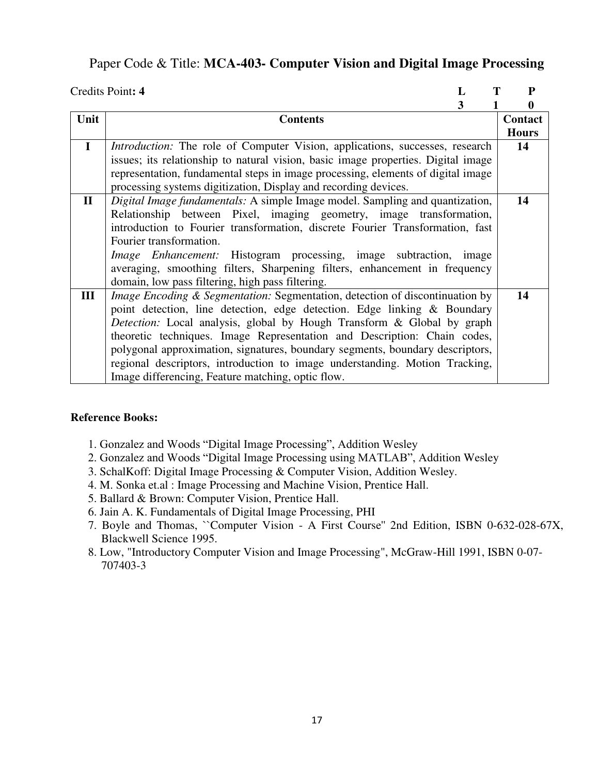### Paper Code & Title: **MCA-403- Computer Vision and Digital Image Processing**

|              | Credits Point: 4<br>L                                                               | P            |
|--------------|-------------------------------------------------------------------------------------|--------------|
|              | 3                                                                                   | 0            |
| Unit         | <b>Contents</b>                                                                     | Contact      |
|              |                                                                                     | <b>Hours</b> |
| $\mathbf I$  | <i>Introduction:</i> The role of Computer Vision, applications, successes, research | 14           |
|              | issues; its relationship to natural vision, basic image properties. Digital image   |              |
|              | representation, fundamental steps in image processing, elements of digital image    |              |
|              | processing systems digitization, Display and recording devices.                     |              |
| $\mathbf{I}$ | <i>Digital Image fundamentals:</i> A simple Image model. Sampling and quantization, | 14           |
|              | Relationship between Pixel, imaging geometry, image transformation,                 |              |
|              | introduction to Fourier transformation, discrete Fourier Transformation, fast       |              |
|              | Fourier transformation.                                                             |              |
|              | <i>Image Enhancement:</i> Histogram processing, image subtraction,<br>image         |              |
|              | averaging, smoothing filters, Sharpening filters, enhancement in frequency          |              |
|              | domain, low pass filtering, high pass filtering.                                    |              |
| III          | Image Encoding & Segmentation: Segmentation, detection of discontinuation by        | 14           |
|              | point detection, line detection, edge detection. Edge linking & Boundary            |              |
|              | <i>Detection:</i> Local analysis, global by Hough Transform & Global by graph       |              |
|              | theoretic techniques. Image Representation and Description: Chain codes,            |              |
|              | polygonal approximation, signatures, boundary segments, boundary descriptors,       |              |
|              | regional descriptors, introduction to image understanding. Motion Tracking,         |              |
|              | Image differencing, Feature matching, optic flow.                                   |              |

- 1. Gonzalez and Woods "Digital Image Processing", Addition Wesley
- 2. Gonzalez and Woods "Digital Image Processing using MATLAB", Addition Wesley
- 3. SchalKoff: Digital Image Processing & Computer Vision, Addition Wesley.
- 4. M. Sonka et.al : Image Processing and Machine Vision, Prentice Hall.
- 5. Ballard & Brown: Computer Vision, Prentice Hall.
- 6. Jain A. K. Fundamentals of Digital Image Processing, PHI
- 7. Boyle and Thomas, ``Computer Vision A First Course'' 2nd Edition, ISBN 0-632-028-67X, Blackwell Science 1995.
- 8. Low, "Introductory Computer Vision and Image Processing", McGraw-Hill 1991, ISBN 0-07- 707403-3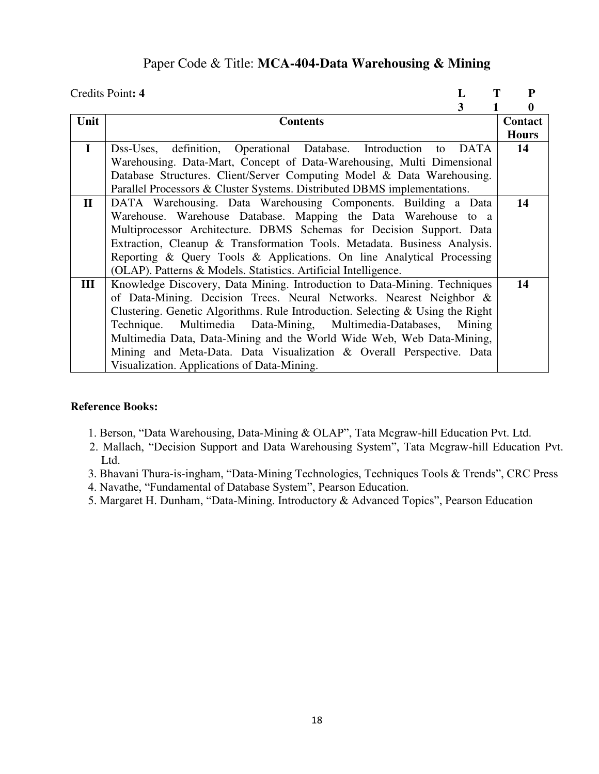### Paper Code & Title: **MCA-404-Data Warehousing & Mining**

|              | Credits Point: 4<br>L                                                          | ${\bf P}$    |
|--------------|--------------------------------------------------------------------------------|--------------|
|              | 3                                                                              | 0            |
| Unit         | <b>Contents</b>                                                                | Contact      |
|              |                                                                                | <b>Hours</b> |
| $\mathbf I$  | Dss-Uses, definition, Operational Database. Introduction to<br><b>DATA</b>     | 14           |
|              | Warehousing, Data-Mart, Concept of Data-Warehousing, Multi Dimensional         |              |
|              | Database Structures. Client/Server Computing Model & Data Warehousing.         |              |
|              | Parallel Processors & Cluster Systems. Distributed DBMS implementations.       |              |
| $\mathbf{I}$ | DATA Warehousing. Data Warehousing Components. Building a Data                 | 14           |
|              | Warehouse. Warehouse Database. Mapping the Data Warehouse to a                 |              |
|              | Multiprocessor Architecture. DBMS Schemas for Decision Support. Data           |              |
|              | Extraction, Cleanup & Transformation Tools. Metadata. Business Analysis.       |              |
|              | Reporting & Query Tools & Applications. On line Analytical Processing          |              |
|              | (OLAP). Patterns & Models. Statistics. Artificial Intelligence.                |              |
| III          | Knowledge Discovery, Data Mining. Introduction to Data-Mining. Techniques      | 14           |
|              | of Data-Mining. Decision Trees. Neural Networks. Nearest Neighbor &            |              |
|              | Clustering. Genetic Algorithms. Rule Introduction. Selecting & Using the Right |              |
|              | Technique. Multimedia Data-Mining, Multimedia-Databases, Mining                |              |
|              | Multimedia Data, Data-Mining and the World Wide Web, Web Data-Mining,          |              |
|              | Mining and Meta-Data. Data Visualization & Overall Perspective. Data           |              |
|              | Visualization. Applications of Data-Mining.                                    |              |

- 1. Berson, "Data Warehousing, Data-Mining & OLAP", Tata Mcgraw-hill Education Pvt. Ltd.
- 2. Mallach, "Decision Support and Data Warehousing System", Tata Mcgraw-hill Education Pvt. Ltd.
- 3. Bhavani Thura-is-ingham, "Data-Mining Technologies, Techniques Tools & Trends", CRC Press
- 4. Navathe, "Fundamental of Database System", Pearson Education.
- 5. Margaret H. Dunham, "Data-Mining. Introductory & Advanced Topics", Pearson Education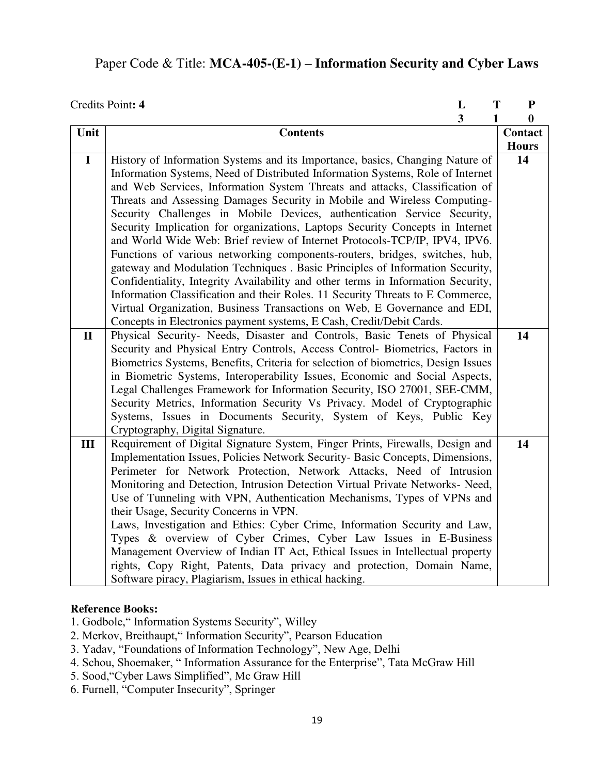## Paper Code & Title: **MCA-405-(E-1) – Information Security and Cyber Laws**

|              | L<br>Credits Point: 4<br>T                                                        | ${\bf P}$        |
|--------------|-----------------------------------------------------------------------------------|------------------|
|              | $\overline{\mathbf{3}}$<br>$\mathbf{1}$                                           | $\boldsymbol{0}$ |
| Unit         | <b>Contents</b>                                                                   | Contact          |
|              |                                                                                   | <b>Hours</b>     |
| $\mathbf I$  | History of Information Systems and its Importance, basics, Changing Nature of     | 14               |
|              | Information Systems, Need of Distributed Information Systems, Role of Internet    |                  |
|              | and Web Services, Information System Threats and attacks, Classification of       |                  |
|              | Threats and Assessing Damages Security in Mobile and Wireless Computing-          |                  |
|              | Security Challenges in Mobile Devices, authentication Service Security,           |                  |
|              | Security Implication for organizations, Laptops Security Concepts in Internet     |                  |
|              | and World Wide Web: Brief review of Internet Protocols-TCP/IP, IPV4, IPV6.        |                  |
|              | Functions of various networking components-routers, bridges, switches, hub,       |                  |
|              | gateway and Modulation Techniques . Basic Principles of Information Security,     |                  |
|              | Confidentiality, Integrity Availability and other terms in Information Security,  |                  |
|              | Information Classification and their Roles. 11 Security Threats to E Commerce,    |                  |
|              | Virtual Organization, Business Transactions on Web, E Governance and EDI,         |                  |
|              | Concepts in Electronics payment systems, E Cash, Credit/Debit Cards.              |                  |
| $\mathbf{I}$ | Physical Security- Needs, Disaster and Controls, Basic Tenets of Physical         | 14               |
|              | Security and Physical Entry Controls, Access Control- Biometrics, Factors in      |                  |
|              | Biometrics Systems, Benefits, Criteria for selection of biometrics, Design Issues |                  |
|              | in Biometric Systems, Interoperability Issues, Economic and Social Aspects,       |                  |
|              | Legal Challenges Framework for Information Security, ISO 27001, SEE-CMM,          |                  |
|              | Security Metrics, Information Security Vs Privacy. Model of Cryptographic         |                  |
|              | Systems, Issues in Documents Security, System of Keys, Public Key                 |                  |
|              | Cryptography, Digital Signature.                                                  |                  |
| III          | Requirement of Digital Signature System, Finger Prints, Firewalls, Design and     | 14               |
|              | Implementation Issues, Policies Network Security- Basic Concepts, Dimensions,     |                  |
|              | Perimeter for Network Protection, Network Attacks, Need of Intrusion              |                  |
|              | Monitoring and Detection, Intrusion Detection Virtual Private Networks- Need,     |                  |
|              | Use of Tunneling with VPN, Authentication Mechanisms, Types of VPNs and           |                  |
|              | their Usage, Security Concerns in VPN.                                            |                  |
|              | Laws, Investigation and Ethics: Cyber Crime, Information Security and Law,        |                  |
|              | Types & overview of Cyber Crimes, Cyber Law Issues in E-Business                  |                  |
|              | Management Overview of Indian IT Act, Ethical Issues in Intellectual property     |                  |
|              | rights, Copy Right, Patents, Data privacy and protection, Domain Name,            |                  |
|              | Software piracy, Plagiarism, Issues in ethical hacking.                           |                  |

- 1. Godbole," Information Systems Security", Willey
- 2. Merkov, Breithaupt," Information Security", Pearson Education
- 3. Yadav, "Foundations of Information Technology", New Age, Delhi
- 4. Schou, Shoemaker, " Information Assurance for the Enterprise", Tata McGraw Hill
- 5. Sood,"Cyber Laws Simplified", Mc Graw Hill
- 6. Furnell, "Computer Insecurity", Springer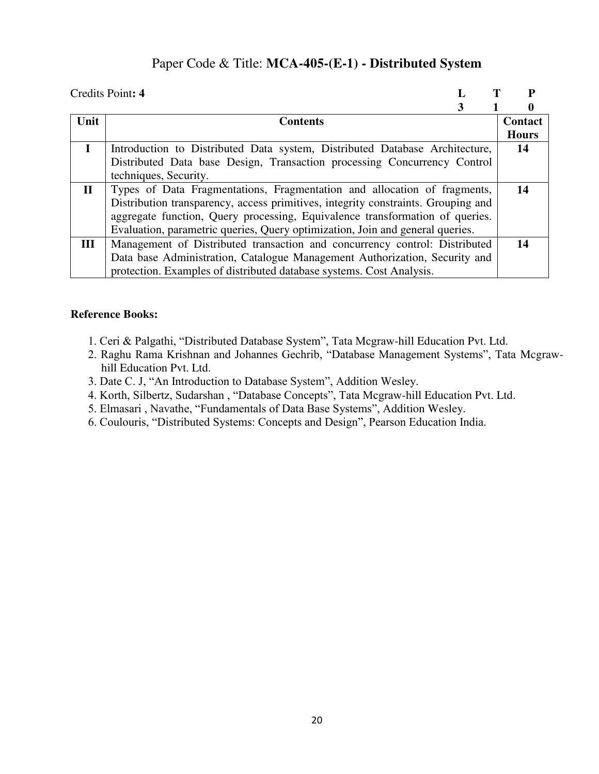### Paper Code & Title: **MCA-405-(E-1) - Distributed System**

|              | Credits Point: 4                                                                  |              |
|--------------|-----------------------------------------------------------------------------------|--------------|
|              |                                                                                   | 0            |
| Unit         | <b>Contents</b>                                                                   | Contact      |
|              |                                                                                   | <b>Hours</b> |
|              | Introduction to Distributed Data system, Distributed Database Architecture,       | 14           |
|              | Distributed Data base Design, Transaction processing Concurrency Control          |              |
|              | techniques, Security.                                                             |              |
| $\mathbf{I}$ | Types of Data Fragmentations, Fragmentation and allocation of fragments,          | 14           |
|              | Distribution transparency, access primitives, integrity constraints. Grouping and |              |
|              | aggregate function, Query processing, Equivalence transformation of queries.      |              |
|              | Evaluation, parametric queries, Query optimization, Join and general queries.     |              |
| III          | Management of Distributed transaction and concurrency control: Distributed        | 14           |
|              | Data base Administration, Catalogue Management Authorization, Security and        |              |
|              | protection. Examples of distributed database systems. Cost Analysis.              |              |

- 1. Ceri & Palgathi, "Distributed Database System", Tata Mcgraw-hill Education Pvt. Ltd.
- 2. Raghu Rama Krishnan and Johannes Gechrib, "Database Management Systems", Tata Mcgrawhill Education Pvt. Ltd.
- 3. Date C. J, "An Introduction to Database System", Addition Wesley.
- 4. Korth, Silbertz, Sudarshan , "Database Concepts", Tata Mcgraw-hill Education Pvt. Ltd.
- 5. Elmasari , Navathe, "Fundamentals of Data Base Systems", Addition Wesley.
- 6. Coulouris, "Distributed Systems: Concepts and Design", Pearson Education India.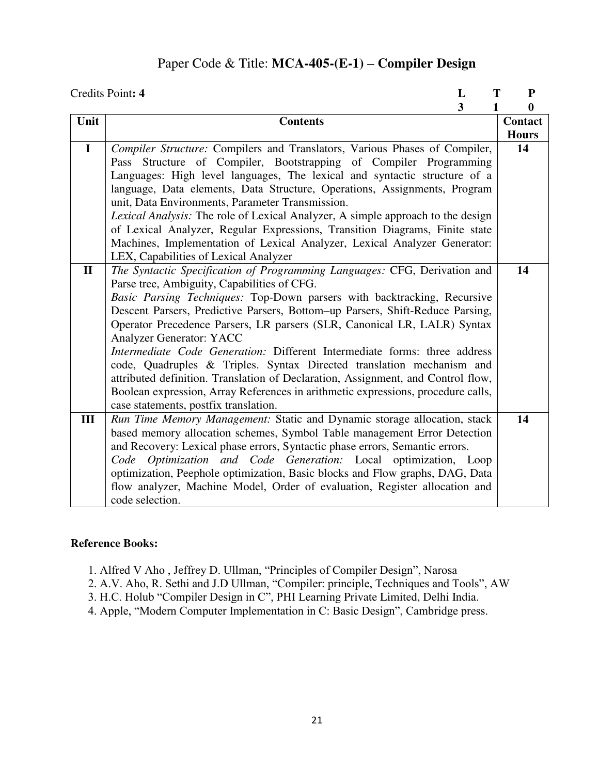## Paper Code & Title: **MCA-405-(E-1) – Compiler Design**

|              | Credits Point: 4<br>T<br>L                                                       | ${\bf P}$    |
|--------------|----------------------------------------------------------------------------------|--------------|
|              | 3<br>1                                                                           | $\bf{0}$     |
| Unit         | <b>Contents</b>                                                                  | Contact      |
|              |                                                                                  | <b>Hours</b> |
| $\mathbf I$  | Compiler Structure: Compilers and Translators, Various Phases of Compiler,       | 14           |
|              | Pass Structure of Compiler, Bootstrapping of Compiler Programming                |              |
|              | Languages: High level languages, The lexical and syntactic structure of a        |              |
|              | language, Data elements, Data Structure, Operations, Assignments, Program        |              |
|              | unit, Data Environments, Parameter Transmission.                                 |              |
|              | Lexical Analysis: The role of Lexical Analyzer, A simple approach to the design  |              |
|              | of Lexical Analyzer, Regular Expressions, Transition Diagrams, Finite state      |              |
|              | Machines, Implementation of Lexical Analyzer, Lexical Analyzer Generator:        |              |
|              | LEX, Capabilities of Lexical Analyzer                                            |              |
| $\mathbf{I}$ | The Syntactic Specification of Programming Languages: CFG, Derivation and        | 14           |
|              | Parse tree, Ambiguity, Capabilities of CFG.                                      |              |
|              | Basic Parsing Techniques: Top-Down parsers with backtracking, Recursive          |              |
|              | Descent Parsers, Predictive Parsers, Bottom-up Parsers, Shift-Reduce Parsing,    |              |
|              | Operator Precedence Parsers, LR parsers (SLR, Canonical LR, LALR) Syntax         |              |
|              | <b>Analyzer Generator: YACC</b>                                                  |              |
|              | Intermediate Code Generation: Different Intermediate forms: three address        |              |
|              | code, Quadruples & Triples. Syntax Directed translation mechanism and            |              |
|              | attributed definition. Translation of Declaration, Assignment, and Control flow, |              |
|              | Boolean expression, Array References in arithmetic expressions, procedure calls, |              |
|              | case statements, postfix translation.                                            |              |
| III          | Run Time Memory Management: Static and Dynamic storage allocation, stack         | 14           |
|              | based memory allocation schemes, Symbol Table management Error Detection         |              |
|              | and Recovery: Lexical phase errors, Syntactic phase errors, Semantic errors.     |              |
|              | Code Optimization and Code Generation: Local optimization, Loop                  |              |
|              | optimization, Peephole optimization, Basic blocks and Flow graphs, DAG, Data     |              |
|              | flow analyzer, Machine Model, Order of evaluation, Register allocation and       |              |
|              | code selection.                                                                  |              |

- 1. Alfred V Aho , Jeffrey D. Ullman, "Principles of Compiler Design", Narosa
- 2. A.V. Aho, R. Sethi and J.D Ullman, "Compiler: principle, Techniques and Tools", AW
- 3. H.C. Holub "Compiler Design in C", PHI Learning Private Limited, Delhi India.
- 4. Apple, "Modern Computer Implementation in C: Basic Design", Cambridge press.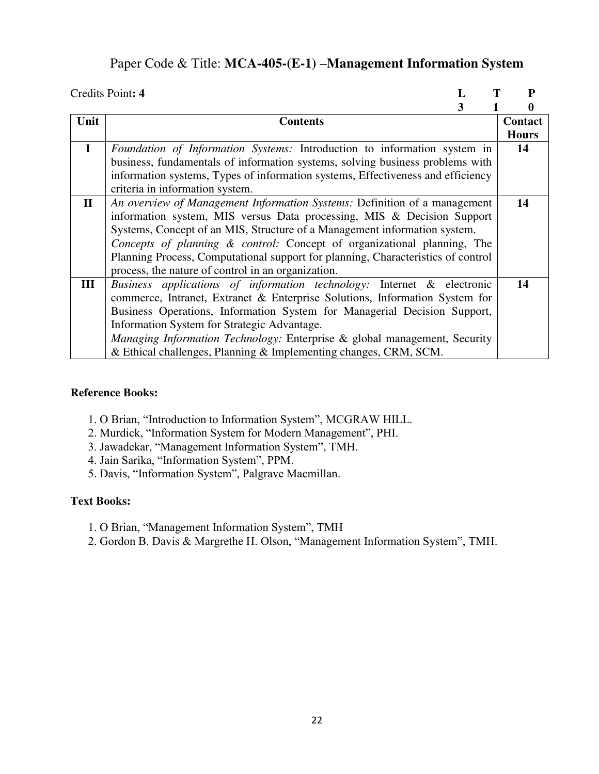# Paper Code & Title: **MCA-405-(E-1) –Management Information System**

|              | Credits Point: 4                                                                 | P            |
|--------------|----------------------------------------------------------------------------------|--------------|
|              | 3                                                                                |              |
| Unit         | <b>Contents</b>                                                                  | Contact      |
|              |                                                                                  | <b>Hours</b> |
| $\bf{I}$     | Foundation of Information Systems: Introduction to information system in         | 14           |
|              | business, fundamentals of information systems, solving business problems with    |              |
|              | information systems, Types of information systems, Effectiveness and efficiency  |              |
|              | criteria in information system.                                                  |              |
| $\mathbf{I}$ | An overview of Management Information Systems: Definition of a management        | 14           |
|              | information system, MIS versus Data processing, MIS & Decision Support           |              |
|              | Systems, Concept of an MIS, Structure of a Management information system.        |              |
|              | Concepts of planning & control: Concept of organizational planning, The          |              |
|              | Planning Process, Computational support for planning, Characteristics of control |              |
|              | process, the nature of control in an organization.                               |              |
| Ш            | Business applications of information technology: Internet & electronic           | 14           |
|              | commerce, Intranet, Extranet & Enterprise Solutions, Information System for      |              |
|              | Business Operations, Information System for Managerial Decision Support,         |              |
|              | Information System for Strategic Advantage.                                      |              |
|              | Managing Information Technology: Enterprise & global management, Security        |              |
|              | & Ethical challenges, Planning & Implementing changes, CRM, SCM.                 |              |

#### **Reference Books:**

- 1. O Brian, "Introduction to Information System", MCGRAW HILL.
- 2. Murdick, "Information System for Modern Management", PHI.
- 3. Jawadekar, "Management Information System", TMH.
- 4. Jain Sarika, "Information System", PPM.
- 5. Davis, "Information System", Palgrave Macmillan.

#### **Text Books:**

- 1. O Brian, "Management Information System", TMH
- 2. Gordon B. Davis & Margrethe H. Olson, "Management Information System", TMH.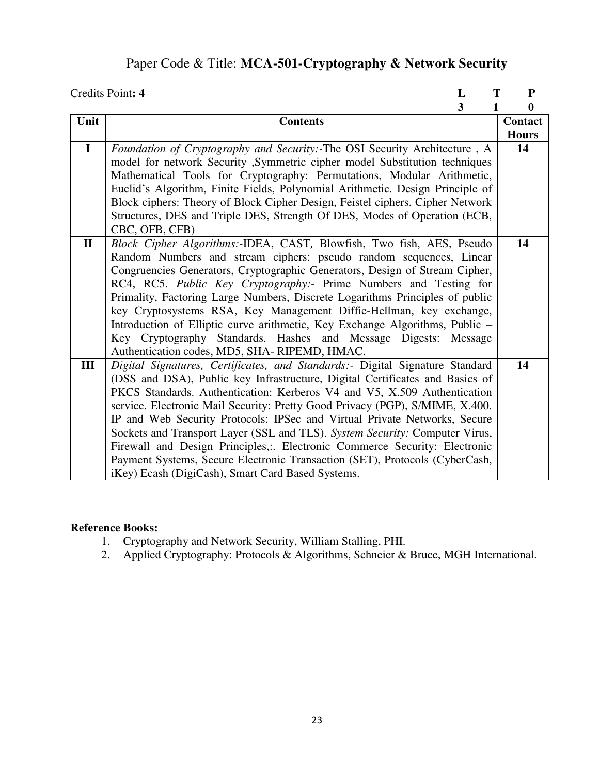# Paper Code & Title: **MCA-501-Cryptography & Network Security**

|              | Credits Point: 4<br>T<br>L                                                    | ${\bf P}$    |
|--------------|-------------------------------------------------------------------------------|--------------|
|              | $\overline{\mathbf{3}}$<br>1                                                  | $\bf{0}$     |
| Unit         | <b>Contents</b>                                                               | Contact      |
|              |                                                                               | <b>Hours</b> |
| $\mathbf I$  | Foundation of Cryptography and Security:-The OSI Security Architecture, A     | 14           |
|              | model for network Security , Symmetric cipher model Substitution techniques   |              |
|              | Mathematical Tools for Cryptography: Permutations, Modular Arithmetic,        |              |
|              | Euclid's Algorithm, Finite Fields, Polynomial Arithmetic. Design Principle of |              |
|              | Block ciphers: Theory of Block Cipher Design, Feistel ciphers. Cipher Network |              |
|              | Structures, DES and Triple DES, Strength Of DES, Modes of Operation (ECB,     |              |
|              | CBC, OFB, CFB)                                                                |              |
| $\mathbf{I}$ | Block Cipher Algorithms:-IDEA, CAST, Blowfish, Two fish, AES, Pseudo          | 14           |
|              | Random Numbers and stream ciphers: pseudo random sequences, Linear            |              |
|              | Congruencies Generators, Cryptographic Generators, Design of Stream Cipher,   |              |
|              | RC4, RC5. Public Key Cryptography:- Prime Numbers and Testing for             |              |
|              | Primality, Factoring Large Numbers, Discrete Logarithms Principles of public  |              |
|              | key Cryptosystems RSA, Key Management Diffie-Hellman, key exchange,           |              |
|              | Introduction of Elliptic curve arithmetic, Key Exchange Algorithms, Public -  |              |
|              | Key Cryptography Standards. Hashes and Message Digests: Message               |              |
|              | Authentication codes, MD5, SHA-RIPEMD, HMAC.                                  |              |
| III          | Digital Signatures, Certificates, and Standards:- Digital Signature Standard  | 14           |
|              | (DSS and DSA), Public key Infrastructure, Digital Certificates and Basics of  |              |
|              | PKCS Standards. Authentication: Kerberos V4 and V5, X.509 Authentication      |              |
|              | service. Electronic Mail Security: Pretty Good Privacy (PGP), S/MIME, X.400.  |              |
|              | IP and Web Security Protocols: IPSec and Virtual Private Networks, Secure     |              |
|              | Sockets and Transport Layer (SSL and TLS). System Security: Computer Virus,   |              |
|              | Firewall and Design Principles,:. Electronic Commerce Security: Electronic    |              |
|              | Payment Systems, Secure Electronic Transaction (SET), Protocols (CyberCash,   |              |
|              | iKey) Ecash (DigiCash), Smart Card Based Systems.                             |              |

- 1. Cryptography and Network Security, William Stalling, PHI.
- 2. Applied Cryptography: Protocols & Algorithms, Schneier & Bruce, MGH International.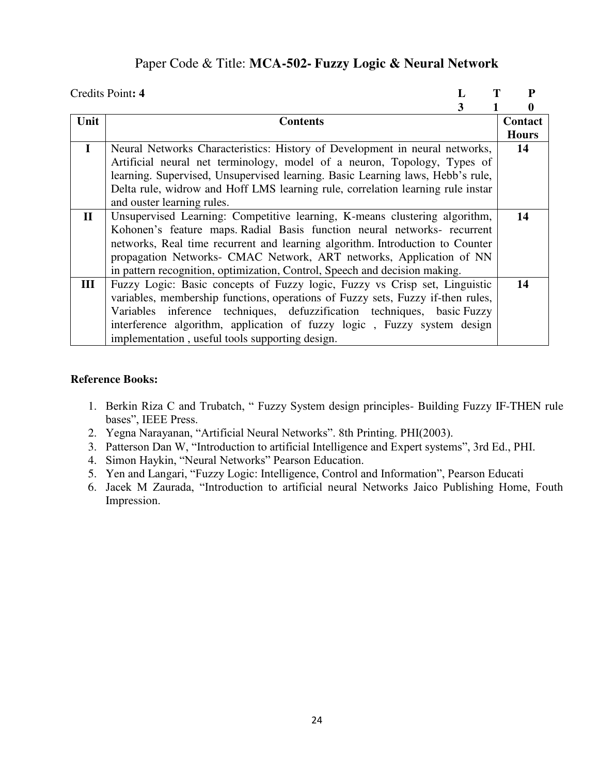### Paper Code & Title: **MCA-502- Fuzzy Logic & Neural Network**

|              | Credits Point: 4                                                                | P            |
|--------------|---------------------------------------------------------------------------------|--------------|
|              | 3                                                                               | 0            |
| Unit         | <b>Contents</b>                                                                 | Contact      |
|              |                                                                                 | <b>Hours</b> |
| $\mathbf I$  | Neural Networks Characteristics: History of Development in neural networks,     | 14           |
|              | Artificial neural net terminology, model of a neuron, Topology, Types of        |              |
|              | learning. Supervised, Unsupervised learning. Basic Learning laws, Hebb's rule,  |              |
|              | Delta rule, widrow and Hoff LMS learning rule, correlation learning rule instar |              |
|              | and ouster learning rules.                                                      |              |
| $\mathbf{I}$ | Unsupervised Learning: Competitive learning, K-means clustering algorithm,      | 14           |
|              | Kohonen's feature maps. Radial Basis function neural networks- recurrent        |              |
|              | networks, Real time recurrent and learning algorithm. Introduction to Counter   |              |
|              | propagation Networks- CMAC Network, ART networks, Application of NN             |              |
|              | in pattern recognition, optimization, Control, Speech and decision making.      |              |
| Ш            | Fuzzy Logic: Basic concepts of Fuzzy logic, Fuzzy vs Crisp set, Linguistic      | 14           |
|              | variables, membership functions, operations of Fuzzy sets, Fuzzy if-then rules, |              |
|              | inference techniques, defuzzification techniques, basic Fuzzy<br>Variables      |              |
|              | interference algorithm, application of fuzzy logic, Fuzzy system design         |              |
|              | implementation, useful tools supporting design.                                 |              |

- 1. Berkin Riza C and Trubatch, " Fuzzy System design principles- Building Fuzzy IF-THEN rule bases", IEEE Press.
- 2. Yegna Narayanan, "Artificial Neural Networks". 8th Printing. PHI(2003).
- 3. Patterson Dan W, "Introduction to artificial Intelligence and Expert systems", 3rd Ed., PHI.
- 4. Simon Haykin, "Neural Networks" Pearson Education.
- 5. Yen and Langari, "Fuzzy Logic: Intelligence, Control and Information", Pearson Educati
- 6. Jacek M Zaurada, "Introduction to artificial neural Networks Jaico Publishing Home, Fouth Impression.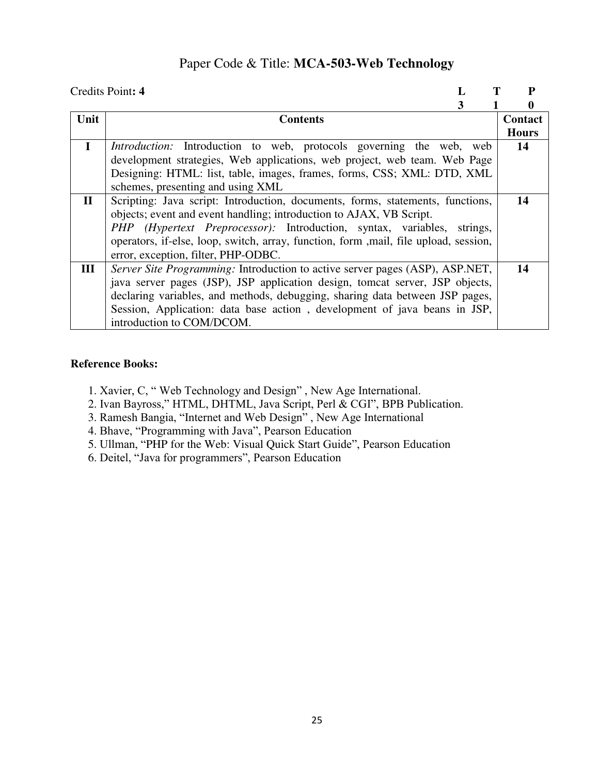## Paper Code & Title: **MCA-503-Web Technology**

|              | Credits Point: 4                                                                      | P                |
|--------------|---------------------------------------------------------------------------------------|------------------|
|              | 3                                                                                     | $\boldsymbol{0}$ |
| Unit         | <b>Contents</b>                                                                       | Contact          |
|              |                                                                                       | <b>Hours</b>     |
| $\mathbf I$  | <i>Introduction:</i> Introduction to web, protocols governing the web, web            | 14               |
|              | development strategies, Web applications, web project, web team. Web Page             |                  |
|              | Designing: HTML: list, table, images, frames, forms, CSS; XML: DTD, XML               |                  |
|              | schemes, presenting and using XML                                                     |                  |
| $\mathbf{I}$ | Scripting: Java script: Introduction, documents, forms, statements, functions,        | 14               |
|              | objects; event and event handling; introduction to AJAX, VB Script.                   |                  |
|              | PHP (Hypertext Preprocessor): Introduction, syntax, variables,<br>strings,            |                  |
|              | operators, if-else, loop, switch, array, function, form , mail, file upload, session, |                  |
|              | error, exception, filter, PHP-ODBC.                                                   |                  |
| III          | Server Site Programming: Introduction to active server pages (ASP), ASP.NET,          | 14               |
|              | java server pages (JSP), JSP application design, tomcat server, JSP objects,          |                  |
|              | declaring variables, and methods, debugging, sharing data between JSP pages,          |                  |
|              | Session, Application: data base action, development of java beans in JSP,             |                  |
|              | introduction to COM/DCOM.                                                             |                  |

- 1. Xavier, C, " Web Technology and Design" , New Age International.
- 2. Ivan Bayross," HTML, DHTML, Java Script, Perl & CGI", BPB Publication.
- 3. Ramesh Bangia, "Internet and Web Design" , New Age International
- 4. Bhave, "Programming with Java", Pearson Education
- 5. Ullman, "PHP for the Web: Visual Quick Start Guide", Pearson Education
- 6. Deitel, "Java for programmers", Pearson Education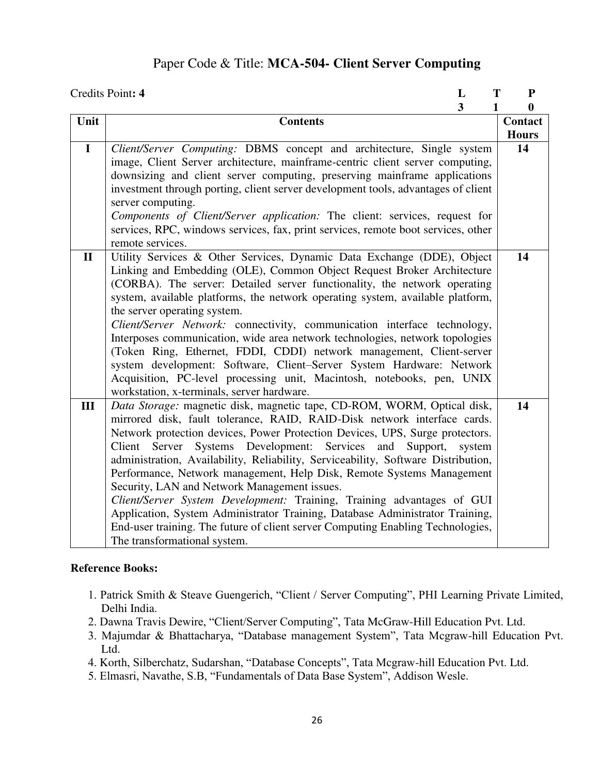## Paper Code & Title: **MCA-504- Client Server Computing**

|              | Credits Point: 4<br>L                                                                                                                                           | T      | ${\bf P}$    |
|--------------|-----------------------------------------------------------------------------------------------------------------------------------------------------------------|--------|--------------|
|              | $\overline{\mathbf{3}}$                                                                                                                                         |        | 0            |
| Unit         | <b>Contents</b>                                                                                                                                                 |        | Contact      |
|              |                                                                                                                                                                 |        | <b>Hours</b> |
| $\mathbf I$  | Client/Server Computing: DBMS concept and architecture, Single system                                                                                           |        | 14           |
|              | image, Client Server architecture, mainframe-centric client server computing,                                                                                   |        |              |
|              | downsizing and client server computing, preserving mainframe applications                                                                                       |        |              |
|              | investment through porting, client server development tools, advantages of client                                                                               |        |              |
|              | server computing.                                                                                                                                               |        |              |
|              | Components of Client/Server application: The client: services, request for                                                                                      |        |              |
|              | services, RPC, windows services, fax, print services, remote boot services, other                                                                               |        |              |
|              | remote services.                                                                                                                                                |        |              |
| $\mathbf{I}$ | Utility Services & Other Services, Dynamic Data Exchange (DDE), Object                                                                                          |        | 14           |
|              | Linking and Embedding (OLE), Common Object Request Broker Architecture                                                                                          |        |              |
|              | (CORBA). The server: Detailed server functionality, the network operating                                                                                       |        |              |
|              | system, available platforms, the network operating system, available platform,                                                                                  |        |              |
|              | the server operating system.                                                                                                                                    |        |              |
|              | Client/Server Network: connectivity, communication interface technology,                                                                                        |        |              |
|              | Interposes communication, wide area network technologies, network topologies                                                                                    |        |              |
|              | (Token Ring, Ethernet, FDDI, CDDI) network management, Client-server                                                                                            |        |              |
|              | system development: Software, Client-Server System Hardware: Network                                                                                            |        |              |
|              | Acquisition, PC-level processing unit, Macintosh, notebooks, pen, UNIX                                                                                          |        |              |
|              | workstation, x-terminals, server hardware.                                                                                                                      |        |              |
| III          | Data Storage: magnetic disk, magnetic tape, CD-ROM, WORM, Optical disk,                                                                                         |        | 14           |
|              | mirrored disk, fault tolerance, RAID, RAID-Disk network interface cards.                                                                                        |        |              |
|              | Network protection devices, Power Protection Devices, UPS, Surge protectors.                                                                                    |        |              |
|              | Systems Development:<br>Server<br>Services<br>Client<br>and<br>Support,                                                                                         | system |              |
|              | administration, Availability, Reliability, Serviceability, Software Distribution,                                                                               |        |              |
|              | Performance, Network management, Help Disk, Remote Systems Management                                                                                           |        |              |
|              | Security, LAN and Network Management issues.                                                                                                                    |        |              |
|              | Client/Server System Development: Training, Training advantages of GUI                                                                                          |        |              |
|              | Application, System Administrator Training, Database Administrator Training,<br>End-user training. The future of client server Computing Enabling Technologies, |        |              |
|              | The transformational system.                                                                                                                                    |        |              |
|              |                                                                                                                                                                 |        |              |

- 1. Patrick Smith & Steave Guengerich, "Client / Server Computing", PHI Learning Private Limited, Delhi India.
- 2. Dawna Travis Dewire, "Client/Server Computing", Tata McGraw-Hill Education Pvt. Ltd.
- 3. Majumdar & Bhattacharya, "Database management System", Tata Mcgraw-hill Education Pvt. Ltd.
- 4. Korth, Silberchatz, Sudarshan, "Database Concepts", Tata Mcgraw-hill Education Pvt. Ltd.
- 5. Elmasri, Navathe, S.B, "Fundamentals of Data Base System", Addison Wesle.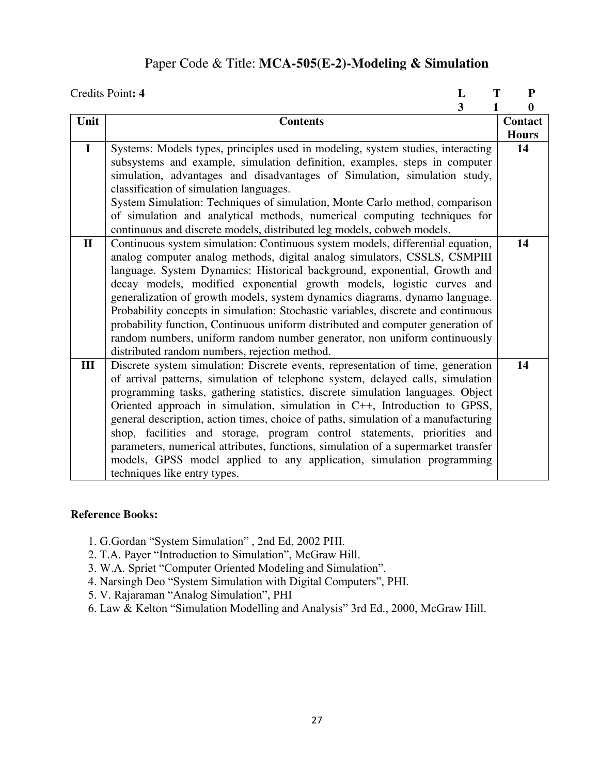## Paper Code & Title: **MCA-505(E-2)-Modeling & Simulation**

|              | Credits Point: 4<br>L<br>Т                                                        | ${\bf P}$    |
|--------------|-----------------------------------------------------------------------------------|--------------|
|              | 3                                                                                 | $\bf{0}$     |
| Unit         | <b>Contents</b>                                                                   | Contact      |
|              |                                                                                   | <b>Hours</b> |
| $\mathbf{I}$ | Systems: Models types, principles used in modeling, system studies, interacting   | 14           |
|              | subsystems and example, simulation definition, examples, steps in computer        |              |
|              | simulation, advantages and disadvantages of Simulation, simulation study,         |              |
|              | classification of simulation languages.                                           |              |
|              | System Simulation: Techniques of simulation, Monte Carlo method, comparison       |              |
|              | of simulation and analytical methods, numerical computing techniques for          |              |
|              | continuous and discrete models, distributed leg models, cobweb models.            |              |
| $\mathbf{I}$ | Continuous system simulation: Continuous system models, differential equation,    | 14           |
|              | analog computer analog methods, digital analog simulators, CSSLS, CSMPIII         |              |
|              | language. System Dynamics: Historical background, exponential, Growth and         |              |
|              | decay models, modified exponential growth models, logistic curves and             |              |
|              | generalization of growth models, system dynamics diagrams, dynamo language.       |              |
|              | Probability concepts in simulation: Stochastic variables, discrete and continuous |              |
|              | probability function, Continuous uniform distributed and computer generation of   |              |
|              | random numbers, uniform random number generator, non uniform continuously         |              |
|              | distributed random numbers, rejection method.                                     |              |
| III          | Discrete system simulation: Discrete events, representation of time, generation   | 14           |
|              | of arrival patterns, simulation of telephone system, delayed calls, simulation    |              |
|              | programming tasks, gathering statistics, discrete simulation languages. Object    |              |
|              | Oriented approach in simulation, simulation in C++, Introduction to GPSS,         |              |
|              | general description, action times, choice of paths, simulation of a manufacturing |              |
|              | shop, facilities and storage, program control statements, priorities and          |              |
|              | parameters, numerical attributes, functions, simulation of a supermarket transfer |              |
|              | models, GPSS model applied to any application, simulation programming             |              |
|              | techniques like entry types.                                                      |              |

- 1. G.Gordan "System Simulation" , 2nd Ed, 2002 PHI.
- 2. T.A. Payer "Introduction to Simulation", McGraw Hill.
- 3. W.A. Spriet "Computer Oriented Modeling and Simulation".
- 4. Narsingh Deo "System Simulation with Digital Computers", PHI.
- 5. V. Rajaraman "Analog Simulation", PHI
- 6. Law & Kelton "Simulation Modelling and Analysis" 3rd Ed., 2000, McGraw Hill.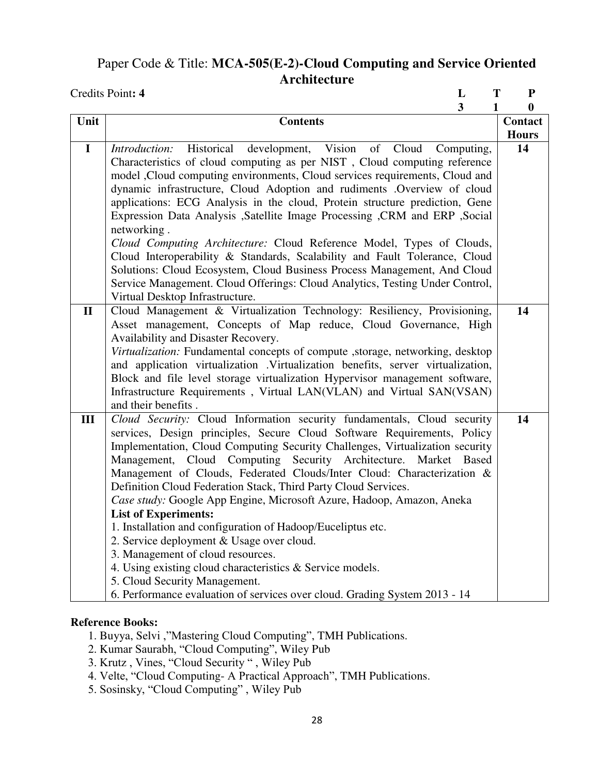## Paper Code & Title: **MCA-505(E-2)-Cloud Computing and Service Oriented Architecture**

| Credits Point: 4                                                                                                                        | L                       | ${\bf P}$<br>T |
|-----------------------------------------------------------------------------------------------------------------------------------------|-------------------------|----------------|
|                                                                                                                                         | $\overline{\mathbf{3}}$ | 0<br>1         |
| Unit<br><b>Contents</b>                                                                                                                 |                         | <b>Contact</b> |
|                                                                                                                                         |                         | <b>Hours</b>   |
| Historical<br>Vision<br>of<br>Cloud<br>$\mathbf I$<br>Introduction:<br>development,                                                     | Computing,              | 14             |
| Characteristics of cloud computing as per NIST, Cloud computing reference                                                               |                         |                |
| model ,Cloud computing environments, Cloud services requirements, Cloud and                                                             |                         |                |
| dynamic infrastructure, Cloud Adoption and rudiments .Overview of cloud                                                                 |                         |                |
| applications: ECG Analysis in the cloud, Protein structure prediction, Gene                                                             |                         |                |
| Expression Data Analysis ,Satellite Image Processing ,CRM and ERP ,Social                                                               |                         |                |
| networking.                                                                                                                             |                         |                |
| Cloud Computing Architecture: Cloud Reference Model, Types of Clouds,                                                                   |                         |                |
| Cloud Interoperability & Standards, Scalability and Fault Tolerance, Cloud                                                              |                         |                |
| Solutions: Cloud Ecosystem, Cloud Business Process Management, And Cloud                                                                |                         |                |
| Service Management. Cloud Offerings: Cloud Analytics, Testing Under Control,                                                            |                         |                |
| Virtual Desktop Infrastructure.                                                                                                         |                         |                |
| Cloud Management & Virtualization Technology: Resiliency, Provisioning,<br>$\mathbf{I}$                                                 |                         | 14             |
| Asset management, Concepts of Map reduce, Cloud Governance, High                                                                        |                         |                |
| Availability and Disaster Recovery.                                                                                                     |                         |                |
| Virtualization: Fundamental concepts of compute , storage, networking, desktop                                                          |                         |                |
| and application virtualization .Virtualization benefits, server virtualization,                                                         |                         |                |
| Block and file level storage virtualization Hypervisor management software,                                                             |                         |                |
| Infrastructure Requirements, Virtual LAN(VLAN) and Virtual SAN(VSAN)                                                                    |                         |                |
| and their benefits.                                                                                                                     |                         |                |
| Cloud Security: Cloud Information security fundamentals, Cloud security<br>III                                                          |                         | 14             |
| services, Design principles, Secure Cloud Software Requirements, Policy                                                                 |                         |                |
| Implementation, Cloud Computing Security Challenges, Virtualization security                                                            |                         |                |
| Management, Cloud Computing Security Architecture. Market Based                                                                         |                         |                |
| Management of Clouds, Federated Clouds/Inter Cloud: Characterization &                                                                  |                         |                |
| Definition Cloud Federation Stack, Third Party Cloud Services.<br>Case study: Google App Engine, Microsoft Azure, Hadoop, Amazon, Aneka |                         |                |
| <b>List of Experiments:</b>                                                                                                             |                         |                |
| 1. Installation and configuration of Hadoop/Euceliptus etc.                                                                             |                         |                |
| 2. Service deployment & Usage over cloud.                                                                                               |                         |                |
| 3. Management of cloud resources.                                                                                                       |                         |                |
| 4. Using existing cloud characteristics & Service models.                                                                               |                         |                |
| 5. Cloud Security Management.                                                                                                           |                         |                |
| 6. Performance evaluation of services over cloud. Grading System 2013 - 14                                                              |                         |                |

- 1. Buyya, Selvi ,"Mastering Cloud Computing", TMH Publications.
- 2. Kumar Saurabh, "Cloud Computing", Wiley Pub
- 3. Krutz , Vines, "Cloud Security " , Wiley Pub
- 4. Velte, "Cloud Computing- A Practical Approach", TMH Publications.
- 5. Sosinsky, "Cloud Computing" , Wiley Pub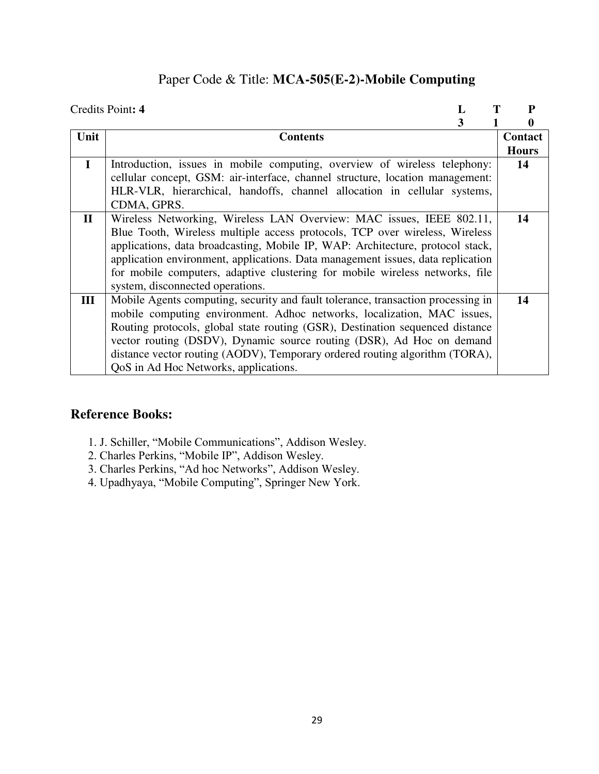## Paper Code & Title: **MCA-505(E-2)-Mobile Computing**

|              | Credits Point: 4                                                                 | P            |
|--------------|----------------------------------------------------------------------------------|--------------|
|              | 3                                                                                | 0            |
| Unit         | <b>Contents</b>                                                                  | Contact      |
|              |                                                                                  | <b>Hours</b> |
| $\mathbf{I}$ | Introduction, issues in mobile computing, overview of wireless telephony:        | 14           |
|              | cellular concept, GSM: air-interface, channel structure, location management:    |              |
|              | HLR-VLR, hierarchical, handoffs, channel allocation in cellular systems,         |              |
|              | CDMA, GPRS.                                                                      |              |
| $\mathbf{I}$ | Wireless Networking, Wireless LAN Overview: MAC issues, IEEE 802.11,             | 14           |
|              | Blue Tooth, Wireless multiple access protocols, TCP over wireless, Wireless      |              |
|              | applications, data broadcasting, Mobile IP, WAP: Architecture, protocol stack,   |              |
|              | application environment, applications. Data management issues, data replication  |              |
|              | for mobile computers, adaptive clustering for mobile wireless networks, file     |              |
|              | system, disconnected operations.                                                 |              |
| III          | Mobile Agents computing, security and fault tolerance, transaction processing in | 14           |
|              | mobile computing environment. Adhoc networks, localization, MAC issues,          |              |
|              | Routing protocols, global state routing (GSR), Destination sequenced distance    |              |
|              | vector routing (DSDV), Dynamic source routing (DSR), Ad Hoc on demand            |              |
|              | distance vector routing (AODV), Temporary ordered routing algorithm (TORA),      |              |
|              | QoS in Ad Hoc Networks, applications.                                            |              |

- 1. J. Schiller, "Mobile Communications", Addison Wesley.
- 2. Charles Perkins, "Mobile IP", Addison Wesley.
- 3. Charles Perkins, "Ad hoc Networks", Addison Wesley.
- 4. Upadhyaya, "Mobile Computing", Springer New York.